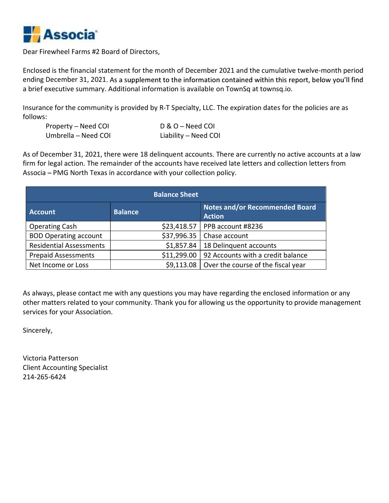

Dear Firewheel Farms #2 Board of Directors,

| Property – Need COI | D & O – Need COI     |
|---------------------|----------------------|
| Umbrella – Need COI | Liability – Need COI |

| follows:                                                                |                                                                      | Insurance for the community is provided by R-T Specialty, LLC. The expiration dates for the policies are as |  |
|-------------------------------------------------------------------------|----------------------------------------------------------------------|-------------------------------------------------------------------------------------------------------------|--|
| Property - Need COI                                                     | D & O - Need COI                                                     |                                                                                                             |  |
| Umbrella - Need COI                                                     | Liability - Need COI                                                 |                                                                                                             |  |
|                                                                         | Associa – PMG North Texas in accordance with your collection policy. |                                                                                                             |  |
|                                                                         | <b>Balance Sheet</b>                                                 |                                                                                                             |  |
|                                                                         |                                                                      | Notes and/or Recommended Board                                                                              |  |
|                                                                         | <b>Balance</b>                                                       | <b>Action</b>                                                                                               |  |
|                                                                         | \$23,418.57                                                          | PPB account #8236                                                                                           |  |
| <b>Account</b><br><b>Operating Cash</b><br><b>BOD Operating account</b> | \$37,996.35                                                          | Chase account                                                                                               |  |
| <b>Residential Assessments</b>                                          | \$1,857.84                                                           | 18 Delinquent accounts                                                                                      |  |
| <b>Prepaid Assessments</b>                                              | \$11,299.00                                                          | 92 Accounts with a credit balance                                                                           |  |

As always, please contact me with any questions you may have regarding the enclosed information or any other matters related to your community. Thank you for allowing us the opportunity to provide management services for your Association.

Sincerely,

Victoria Patterson Client Accounting Specialist 214-265-6424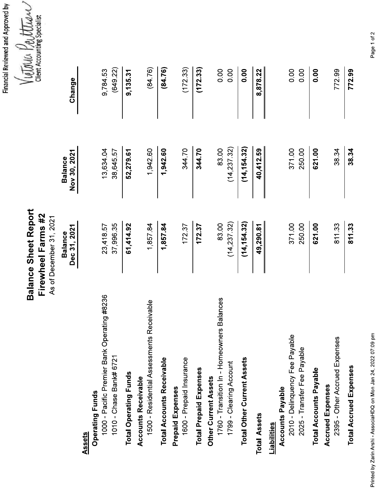Financial Reviewed and Approved by<br> $\sqrt{\frac{1}{M}}$  ( $\frac{1}{M}\sqrt{\frac{1}{M}}$  )  $\frac{1}{M}\sqrt{\frac{1}{M}}$  (lient Accounting Specialist

**Balance Sheet Report** 

|                                                                       | Firewheel Farms #2<br>As of December 31, 2021 |                                | <b>UIEIN ACCOUT</b> |
|-----------------------------------------------------------------------|-----------------------------------------------|--------------------------------|---------------------|
|                                                                       | Dec 31, 2021<br><b>Balance</b>                | Nov 30, 2021<br><b>Balance</b> | Change              |
| Assets                                                                |                                               |                                |                     |
| 1000 - Pacific Premier Bank Operating #8236<br><b>Operating Funds</b> | 23,41857                                      | 13,634.04                      | 9,78453             |
| 1010 - Chase Bank# 6721                                               | 37,99635                                      | 38,645 57                      | (649 22)            |
| <b>Total Operating Funds</b>                                          | 61,41492                                      | 52,279.61                      | 9,135.31            |
| Receivable<br>1500 - Residential Assessments<br>Accounts Receivable   | 1,85784                                       | 1,942.60                       | (8476)              |
| <b>Total Accounts Receivable</b>                                      | 1,85784                                       | 1,942.60                       | (8476)              |
| 1600 - Prepaid Insurance<br><b>Prepaid Expenses</b>                   | 17237                                         | 34470                          | (172.33)            |
| <b>Total Prepaid Expenses</b>                                         | 17237                                         | 344.70                         | (172.33)            |
| 1760 - Transition In - Homeowners Balances<br>Other Current Assets    | 83.00                                         | 83.00                          | 0.00                |
| 1799 - Clearing Account                                               | (14, 237, 32)                                 | (14, 237, 32)                  | 0.00                |
| <b>Total Other Current Assets</b>                                     | (14, 154, 32)                                 | (14, 154, 32)                  | 0.00                |
| <b>Total Assets</b>                                                   | 49,290.81                                     | 40,412.59                      | 8,878.22            |
| <b>Accounts Payable</b><br>Liabilities                                |                                               |                                |                     |
| 2010 - Delinquency Fee Payable                                        | 37100                                         | 37100                          | 0.00                |
| 2025 - Transfer Fee Payable                                           | 250 00                                        | 25000                          | 0.00                |
| <b>Total Accounts Payable</b>                                         | 621.00                                        | 621.00                         | 0.00                |
| 2395 - Other Accrued Expenses<br><b>Accrued Expenses</b>              | 81133                                         | 3834                           | 772.99              |
| <b>Total Accrued Expenses</b>                                         | 811.33                                        | 38.34                          | 772.99              |

Page 1 of 2

Printed by Zarin Arshi - AssociaHDQ on Mon Jan 24, 2022 07:09 pm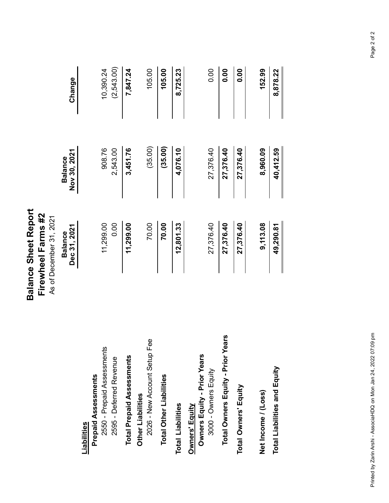| 908.76<br>Nov 30, 2021<br><b>Balance</b><br>11,299.00<br>Dec 31, 2021<br><b>Balance</b><br>2550 - Prepaid Assessments<br><b>Prepaid Assessments</b><br>Liabilities |            |
|--------------------------------------------------------------------------------------------------------------------------------------------------------------------|------------|
|                                                                                                                                                                    | Change     |
|                                                                                                                                                                    |            |
|                                                                                                                                                                    | 10,390.24  |
| 2,543.00<br>0.00<br>2595 - Deferred Revenue                                                                                                                        | (2,543.00) |
| 3,451.76<br>11,299.00<br><b>Total Prepaid Assessments</b>                                                                                                          | 7,847.24   |
| Other Liabilities                                                                                                                                                  |            |
| (35.00)<br>70.00<br>2026 - New Account Setup Fee                                                                                                                   | 105.00     |
| (35.00)<br>70.00<br><b>Total Other Liabilities</b>                                                                                                                 | 105.00     |
| 4,076.10<br>12,801.33<br><b>Total Liabilities</b>                                                                                                                  | 8,725.23   |
| Owners Equity - Prior Years<br>Owners' Equity                                                                                                                      |            |
| 27,376.40<br>27,376.40<br>3000 - Owners Equity                                                                                                                     | 0.00       |
| 27,376.40<br>27,376.40<br>Total Owners Equity - Prior Years                                                                                                        | 0.00       |
| 27,376.40<br>27,376.40<br>Total Owners' Equity                                                                                                                     | 0.00       |
| 8,960.09<br>9,113.08<br>Net Income / (Loss)                                                                                                                        | 152.99     |
| 40,412.59<br>49,290.81<br>Total Liabilities and Equity                                                                                                             |            |
|                                                                                                                                                                    | 8,878.22   |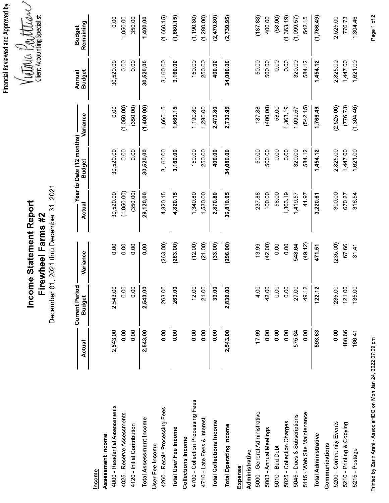| <b>Client Accounting Specialist</b><br>(1, 190, 80)<br>(2,470,80)<br>(2,730,95)<br>(18788)<br>(1,766.49)<br>(1,660,15)<br>(1,280.00)<br>(5800)<br>(1,363,19)<br>(1,099.57)<br>(1,660.15)<br>0.00<br>1,050.00<br>350.00<br>1,400.00<br>400.00<br>54215<br>1,304.46<br>2,525.00<br>77673<br>Remaining<br><b>Budget</b><br>LATOLICA<br>0.00<br>1,621.00<br>0.00<br>3,160.00<br>150.00<br>250.00<br>34,080.00<br>50.00<br>0.00<br>320.00<br>2,825.00<br>1,447.00<br>30,52000<br>30,520.00<br>400.00<br>500.00<br>0.00<br>584 12<br>1,454 12<br>3,160.00<br><b>Budget</b><br>Annual<br>(1,400.00)<br>(1,304,46)<br>(2,525,00)<br>(77673)<br>(1,050.00)<br>(350 00)<br>(40000)<br>(542.15)<br>0.00<br>2,730.95<br>1,660.15<br>1,660.15<br>1,19080<br>1,280.00<br>2,470.80<br>18788<br>5800<br>1,363.19<br>1,766.49<br>1,099.57<br>Variance<br>Year to Date (12 months)<br>0.00<br>1,44700<br>1,621.00<br>30,52000<br>0.00<br>30,520.00<br>3,160.00<br>150.00<br>50.00<br>500.00<br>0.00<br>0.00<br>320.00<br>2,825.00<br>3,160.00<br>250.00<br>400.00<br>34,080.00<br>584 12<br>1,454 12<br><b>Budget</b><br>December 01, 2021 thru December 31, 2021<br>(1,050,00)<br>(35000)<br>30,520.00<br>29,120.00<br>300.00<br>4,820.15<br>4,820.15<br>1,340.80<br>1,530.00<br>2,870.80<br>36,810.95<br>23788<br>100.00<br>58.00<br>1,363.19<br>31654<br>4197<br>3,220.61<br>67027<br>1,419.57<br>Income Statement Report<br>Actual<br>rewheel Farms #2<br>(296.00)<br>(263 00)<br>(33.00)<br>(42.00)<br>(235 00)<br>(263.00)<br>(12.00)<br>(21.00)<br>(4912)<br>0.00<br>0.00<br>0.00<br>0.00<br>13.99<br>0.00<br>0.00<br>6766<br>548 64<br>471.51<br>3141<br>Variance<br>Ë<br><b>Current Period</b><br>2,54300<br>0.00<br>0.00<br>2,543.00<br>263.00<br>12.00<br>21.00<br>2,839.00<br>4.00<br>42.00<br>0.00<br>0.00<br>27.00<br>235.00<br>121.00<br>135.00<br>33.00<br>122.12<br>4912<br>26300<br><b>Budget</b><br>0.00<br>0.00<br>0.00<br>0.00<br>0.00<br>2,543.00<br>0.00<br>0.00<br>2,543.00<br>1799<br>0.00<br>0.00<br>0.00<br>0.00<br>188.66<br>2,543.00<br>0.00<br>57564<br>59363<br>166.41<br>Actual<br>4700 - Collection Processing Fees<br>4000 - Residential Assessments<br>4260 - Resale Processing Fees<br>5000 - General Administrative<br>5115 - Web Site Maintenance<br>4025 - Reserve Assessments<br>5045 - Dues & Subscriptions<br>Total Assessment Income<br>4710 - Late Fees & Interest<br><b>Total Collections Income</b><br>5025 - Collection Charges<br>5200 - Community Events<br>5210 - Printing & Copying<br><b>Total Operating Income</b><br>4120 - Initial Contribution<br>Total User Fee Income<br>5003 - Annual Meetings<br><b>Total Administrative</b><br>Assessment Income<br>Collections Income<br>Communications<br>User Fee Income<br>5010 - Bad Debt<br>5215 Postage<br>Administrative<br>Expense<br><u>Income</u> |  |  |  | Financial Reviewed and Approved by |
|-----------------------------------------------------------------------------------------------------------------------------------------------------------------------------------------------------------------------------------------------------------------------------------------------------------------------------------------------------------------------------------------------------------------------------------------------------------------------------------------------------------------------------------------------------------------------------------------------------------------------------------------------------------------------------------------------------------------------------------------------------------------------------------------------------------------------------------------------------------------------------------------------------------------------------------------------------------------------------------------------------------------------------------------------------------------------------------------------------------------------------------------------------------------------------------------------------------------------------------------------------------------------------------------------------------------------------------------------------------------------------------------------------------------------------------------------------------------------------------------------------------------------------------------------------------------------------------------------------------------------------------------------------------------------------------------------------------------------------------------------------------------------------------------------------------------------------------------------------------------------------------------------------------------------------------------------------------------------------------------------------------------------------------------------------------------------------------------------------------------------------------------------------------------------------------------------------------------------------------------------------------------------------------------------------------------------------------------------------------------------------------------------------------------------------------------------------------------------------------------------------------------------------------------------------------------------------------------------------------------------------------------------------------------------------------------------------------------------------------------------------------------------------------------------------------------------------------------|--|--|--|------------------------------------|
|                                                                                                                                                                                                                                                                                                                                                                                                                                                                                                                                                                                                                                                                                                                                                                                                                                                                                                                                                                                                                                                                                                                                                                                                                                                                                                                                                                                                                                                                                                                                                                                                                                                                                                                                                                                                                                                                                                                                                                                                                                                                                                                                                                                                                                                                                                                                                                                                                                                                                                                                                                                                                                                                                                                                                                                                                                         |  |  |  |                                    |
|                                                                                                                                                                                                                                                                                                                                                                                                                                                                                                                                                                                                                                                                                                                                                                                                                                                                                                                                                                                                                                                                                                                                                                                                                                                                                                                                                                                                                                                                                                                                                                                                                                                                                                                                                                                                                                                                                                                                                                                                                                                                                                                                                                                                                                                                                                                                                                                                                                                                                                                                                                                                                                                                                                                                                                                                                                         |  |  |  |                                    |
|                                                                                                                                                                                                                                                                                                                                                                                                                                                                                                                                                                                                                                                                                                                                                                                                                                                                                                                                                                                                                                                                                                                                                                                                                                                                                                                                                                                                                                                                                                                                                                                                                                                                                                                                                                                                                                                                                                                                                                                                                                                                                                                                                                                                                                                                                                                                                                                                                                                                                                                                                                                                                                                                                                                                                                                                                                         |  |  |  |                                    |
|                                                                                                                                                                                                                                                                                                                                                                                                                                                                                                                                                                                                                                                                                                                                                                                                                                                                                                                                                                                                                                                                                                                                                                                                                                                                                                                                                                                                                                                                                                                                                                                                                                                                                                                                                                                                                                                                                                                                                                                                                                                                                                                                                                                                                                                                                                                                                                                                                                                                                                                                                                                                                                                                                                                                                                                                                                         |  |  |  |                                    |
|                                                                                                                                                                                                                                                                                                                                                                                                                                                                                                                                                                                                                                                                                                                                                                                                                                                                                                                                                                                                                                                                                                                                                                                                                                                                                                                                                                                                                                                                                                                                                                                                                                                                                                                                                                                                                                                                                                                                                                                                                                                                                                                                                                                                                                                                                                                                                                                                                                                                                                                                                                                                                                                                                                                                                                                                                                         |  |  |  |                                    |
|                                                                                                                                                                                                                                                                                                                                                                                                                                                                                                                                                                                                                                                                                                                                                                                                                                                                                                                                                                                                                                                                                                                                                                                                                                                                                                                                                                                                                                                                                                                                                                                                                                                                                                                                                                                                                                                                                                                                                                                                                                                                                                                                                                                                                                                                                                                                                                                                                                                                                                                                                                                                                                                                                                                                                                                                                                         |  |  |  |                                    |
|                                                                                                                                                                                                                                                                                                                                                                                                                                                                                                                                                                                                                                                                                                                                                                                                                                                                                                                                                                                                                                                                                                                                                                                                                                                                                                                                                                                                                                                                                                                                                                                                                                                                                                                                                                                                                                                                                                                                                                                                                                                                                                                                                                                                                                                                                                                                                                                                                                                                                                                                                                                                                                                                                                                                                                                                                                         |  |  |  |                                    |
|                                                                                                                                                                                                                                                                                                                                                                                                                                                                                                                                                                                                                                                                                                                                                                                                                                                                                                                                                                                                                                                                                                                                                                                                                                                                                                                                                                                                                                                                                                                                                                                                                                                                                                                                                                                                                                                                                                                                                                                                                                                                                                                                                                                                                                                                                                                                                                                                                                                                                                                                                                                                                                                                                                                                                                                                                                         |  |  |  |                                    |
|                                                                                                                                                                                                                                                                                                                                                                                                                                                                                                                                                                                                                                                                                                                                                                                                                                                                                                                                                                                                                                                                                                                                                                                                                                                                                                                                                                                                                                                                                                                                                                                                                                                                                                                                                                                                                                                                                                                                                                                                                                                                                                                                                                                                                                                                                                                                                                                                                                                                                                                                                                                                                                                                                                                                                                                                                                         |  |  |  |                                    |
|                                                                                                                                                                                                                                                                                                                                                                                                                                                                                                                                                                                                                                                                                                                                                                                                                                                                                                                                                                                                                                                                                                                                                                                                                                                                                                                                                                                                                                                                                                                                                                                                                                                                                                                                                                                                                                                                                                                                                                                                                                                                                                                                                                                                                                                                                                                                                                                                                                                                                                                                                                                                                                                                                                                                                                                                                                         |  |  |  |                                    |
|                                                                                                                                                                                                                                                                                                                                                                                                                                                                                                                                                                                                                                                                                                                                                                                                                                                                                                                                                                                                                                                                                                                                                                                                                                                                                                                                                                                                                                                                                                                                                                                                                                                                                                                                                                                                                                                                                                                                                                                                                                                                                                                                                                                                                                                                                                                                                                                                                                                                                                                                                                                                                                                                                                                                                                                                                                         |  |  |  |                                    |
|                                                                                                                                                                                                                                                                                                                                                                                                                                                                                                                                                                                                                                                                                                                                                                                                                                                                                                                                                                                                                                                                                                                                                                                                                                                                                                                                                                                                                                                                                                                                                                                                                                                                                                                                                                                                                                                                                                                                                                                                                                                                                                                                                                                                                                                                                                                                                                                                                                                                                                                                                                                                                                                                                                                                                                                                                                         |  |  |  |                                    |
|                                                                                                                                                                                                                                                                                                                                                                                                                                                                                                                                                                                                                                                                                                                                                                                                                                                                                                                                                                                                                                                                                                                                                                                                                                                                                                                                                                                                                                                                                                                                                                                                                                                                                                                                                                                                                                                                                                                                                                                                                                                                                                                                                                                                                                                                                                                                                                                                                                                                                                                                                                                                                                                                                                                                                                                                                                         |  |  |  |                                    |
|                                                                                                                                                                                                                                                                                                                                                                                                                                                                                                                                                                                                                                                                                                                                                                                                                                                                                                                                                                                                                                                                                                                                                                                                                                                                                                                                                                                                                                                                                                                                                                                                                                                                                                                                                                                                                                                                                                                                                                                                                                                                                                                                                                                                                                                                                                                                                                                                                                                                                                                                                                                                                                                                                                                                                                                                                                         |  |  |  |                                    |
|                                                                                                                                                                                                                                                                                                                                                                                                                                                                                                                                                                                                                                                                                                                                                                                                                                                                                                                                                                                                                                                                                                                                                                                                                                                                                                                                                                                                                                                                                                                                                                                                                                                                                                                                                                                                                                                                                                                                                                                                                                                                                                                                                                                                                                                                                                                                                                                                                                                                                                                                                                                                                                                                                                                                                                                                                                         |  |  |  |                                    |
|                                                                                                                                                                                                                                                                                                                                                                                                                                                                                                                                                                                                                                                                                                                                                                                                                                                                                                                                                                                                                                                                                                                                                                                                                                                                                                                                                                                                                                                                                                                                                                                                                                                                                                                                                                                                                                                                                                                                                                                                                                                                                                                                                                                                                                                                                                                                                                                                                                                                                                                                                                                                                                                                                                                                                                                                                                         |  |  |  |                                    |
|                                                                                                                                                                                                                                                                                                                                                                                                                                                                                                                                                                                                                                                                                                                                                                                                                                                                                                                                                                                                                                                                                                                                                                                                                                                                                                                                                                                                                                                                                                                                                                                                                                                                                                                                                                                                                                                                                                                                                                                                                                                                                                                                                                                                                                                                                                                                                                                                                                                                                                                                                                                                                                                                                                                                                                                                                                         |  |  |  |                                    |
|                                                                                                                                                                                                                                                                                                                                                                                                                                                                                                                                                                                                                                                                                                                                                                                                                                                                                                                                                                                                                                                                                                                                                                                                                                                                                                                                                                                                                                                                                                                                                                                                                                                                                                                                                                                                                                                                                                                                                                                                                                                                                                                                                                                                                                                                                                                                                                                                                                                                                                                                                                                                                                                                                                                                                                                                                                         |  |  |  |                                    |
|                                                                                                                                                                                                                                                                                                                                                                                                                                                                                                                                                                                                                                                                                                                                                                                                                                                                                                                                                                                                                                                                                                                                                                                                                                                                                                                                                                                                                                                                                                                                                                                                                                                                                                                                                                                                                                                                                                                                                                                                                                                                                                                                                                                                                                                                                                                                                                                                                                                                                                                                                                                                                                                                                                                                                                                                                                         |  |  |  |                                    |
|                                                                                                                                                                                                                                                                                                                                                                                                                                                                                                                                                                                                                                                                                                                                                                                                                                                                                                                                                                                                                                                                                                                                                                                                                                                                                                                                                                                                                                                                                                                                                                                                                                                                                                                                                                                                                                                                                                                                                                                                                                                                                                                                                                                                                                                                                                                                                                                                                                                                                                                                                                                                                                                                                                                                                                                                                                         |  |  |  |                                    |
|                                                                                                                                                                                                                                                                                                                                                                                                                                                                                                                                                                                                                                                                                                                                                                                                                                                                                                                                                                                                                                                                                                                                                                                                                                                                                                                                                                                                                                                                                                                                                                                                                                                                                                                                                                                                                                                                                                                                                                                                                                                                                                                                                                                                                                                                                                                                                                                                                                                                                                                                                                                                                                                                                                                                                                                                                                         |  |  |  |                                    |
|                                                                                                                                                                                                                                                                                                                                                                                                                                                                                                                                                                                                                                                                                                                                                                                                                                                                                                                                                                                                                                                                                                                                                                                                                                                                                                                                                                                                                                                                                                                                                                                                                                                                                                                                                                                                                                                                                                                                                                                                                                                                                                                                                                                                                                                                                                                                                                                                                                                                                                                                                                                                                                                                                                                                                                                                                                         |  |  |  |                                    |
|                                                                                                                                                                                                                                                                                                                                                                                                                                                                                                                                                                                                                                                                                                                                                                                                                                                                                                                                                                                                                                                                                                                                                                                                                                                                                                                                                                                                                                                                                                                                                                                                                                                                                                                                                                                                                                                                                                                                                                                                                                                                                                                                                                                                                                                                                                                                                                                                                                                                                                                                                                                                                                                                                                                                                                                                                                         |  |  |  |                                    |
|                                                                                                                                                                                                                                                                                                                                                                                                                                                                                                                                                                                                                                                                                                                                                                                                                                                                                                                                                                                                                                                                                                                                                                                                                                                                                                                                                                                                                                                                                                                                                                                                                                                                                                                                                                                                                                                                                                                                                                                                                                                                                                                                                                                                                                                                                                                                                                                                                                                                                                                                                                                                                                                                                                                                                                                                                                         |  |  |  |                                    |
|                                                                                                                                                                                                                                                                                                                                                                                                                                                                                                                                                                                                                                                                                                                                                                                                                                                                                                                                                                                                                                                                                                                                                                                                                                                                                                                                                                                                                                                                                                                                                                                                                                                                                                                                                                                                                                                                                                                                                                                                                                                                                                                                                                                                                                                                                                                                                                                                                                                                                                                                                                                                                                                                                                                                                                                                                                         |  |  |  |                                    |
|                                                                                                                                                                                                                                                                                                                                                                                                                                                                                                                                                                                                                                                                                                                                                                                                                                                                                                                                                                                                                                                                                                                                                                                                                                                                                                                                                                                                                                                                                                                                                                                                                                                                                                                                                                                                                                                                                                                                                                                                                                                                                                                                                                                                                                                                                                                                                                                                                                                                                                                                                                                                                                                                                                                                                                                                                                         |  |  |  |                                    |
|                                                                                                                                                                                                                                                                                                                                                                                                                                                                                                                                                                                                                                                                                                                                                                                                                                                                                                                                                                                                                                                                                                                                                                                                                                                                                                                                                                                                                                                                                                                                                                                                                                                                                                                                                                                                                                                                                                                                                                                                                                                                                                                                                                                                                                                                                                                                                                                                                                                                                                                                                                                                                                                                                                                                                                                                                                         |  |  |  |                                    |
|                                                                                                                                                                                                                                                                                                                                                                                                                                                                                                                                                                                                                                                                                                                                                                                                                                                                                                                                                                                                                                                                                                                                                                                                                                                                                                                                                                                                                                                                                                                                                                                                                                                                                                                                                                                                                                                                                                                                                                                                                                                                                                                                                                                                                                                                                                                                                                                                                                                                                                                                                                                                                                                                                                                                                                                                                                         |  |  |  |                                    |
|                                                                                                                                                                                                                                                                                                                                                                                                                                                                                                                                                                                                                                                                                                                                                                                                                                                                                                                                                                                                                                                                                                                                                                                                                                                                                                                                                                                                                                                                                                                                                                                                                                                                                                                                                                                                                                                                                                                                                                                                                                                                                                                                                                                                                                                                                                                                                                                                                                                                                                                                                                                                                                                                                                                                                                                                                                         |  |  |  |                                    |

Printed by Zarin Arshi - AssociaHDQ on Mon Jan 24, 2022 07:09 pm

Page 1 of 2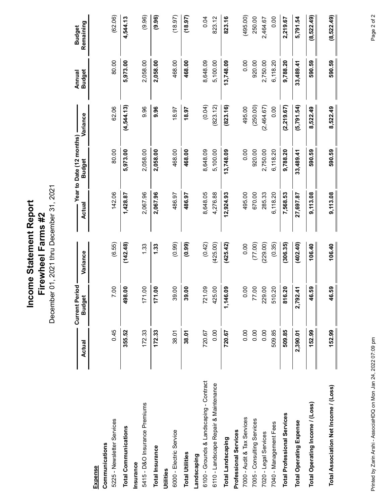**Income Statement Report**<br>Firewheel Farms #2<br>December 01, 2021 thru December 31, 2021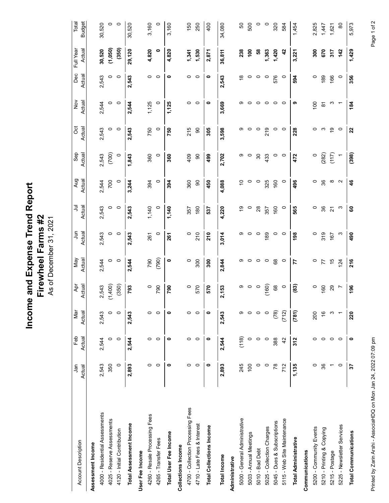| (1,050)<br>Full Year<br>Actual<br>(350)<br>30,520<br>29,120<br>4,820<br>4,820<br>1,530<br>1,363<br>300<br>$\bullet$<br>1,341<br>238<br>$\frac{6}{100}$<br>S8<br>1,420<br>$\boldsymbol{d}$<br>670<br>317<br>$\frac{142}{1}$<br>1,429<br>36,811<br>3,221<br>2,871<br>Dec<br>Actual<br>$\bullet$<br>166<br>356<br>2,543<br>$\circ$<br>$\circ$<br>$\circ$ $\circ$<br>$\circ$ $\circ$<br>576<br>$\circ$<br>189<br>$\circ$<br>543<br>$\bullet$<br>543<br>$\overset{\circ}{\phantom{\circ}}$<br>$\circ$<br>$\circ$<br>$\circ$<br>$\circ$<br>594<br>$\mathbf{a}$<br>$\overline{\mathbf{N}}$<br>Actual<br>$\frac{8}{2}$<br>1,125<br>$\circ$<br>$\circ$<br>$\circ$<br>$\circ$<br>1,125<br>$\circ$<br>$\bullet$<br>3,669<br>$\circ$<br>$\circ$<br>$\circ$<br>თ<br>$\frac{100}{2}$<br>S<br>184<br>2,544<br>2,544<br>$\circ$<br>တ<br>$\circ$<br>$\overline{ }$<br>$\overline{\infty}$<br>ö<br>Actual<br>$\tilde{e}$<br>$\circ$<br>$\circ$<br>750<br>750<br>215<br>$\rm ^{\rm o}$<br>ဝေက<br>$\circ$<br>2,543<br>$\circ$<br>305<br>3,598<br>$\circ$<br>219<br>$\circ$<br>228<br>22<br>2,543<br>တ<br>$\circ$<br>$\circ$<br>Sep<br>(117)<br>Actual<br>(700)<br>(282)<br>(398)<br>2,702<br>2,543<br>$\circ$<br>1,843<br>360<br>360<br>409<br>$\mathsf{S}$<br>$\circ$<br>$30\,$<br>$\circ$<br>$\circ$<br>$\circ$<br>499<br>တ<br>433<br>$\circ$<br>472<br>$\overline{ }$<br>Aug<br>Actual<br>700<br>394<br>360<br>$\mathsf{S}$<br>$\infty$<br>2,544<br>3,244<br>394<br>$\circ$<br>4,088<br>ö<br>$\circ$<br>$\circ$<br>325<br>160<br>496<br>$\frac{8}{3}$<br>$\sim$<br>$\frac{6}{5}$<br>$\circ$<br>450<br>$\circ$<br>Actual<br>ミ<br>36<br>$\circ$<br>$\circ$<br>1,140<br>1,140<br>180<br>4,220<br>$\circ$<br>28<br>160<br>565<br>$\circ$<br>$\omega$<br>60<br>2,543<br>2,543<br>0<br>őł<br>$\circ$<br>$\overline{\mathbf{2}}$<br>357<br>357<br>537<br>Firewheel Farms #2<br>As of December 31, 2021<br>Actual<br>$\bar{a}$<br>210<br>3,014<br>189<br>2,543<br>$\circ$<br>$\circ$<br>261<br>$\circ$<br>261<br>$\circ$<br>$\circ$<br>$\circ$<br>$\circ$<br>$\circ$<br>198<br>$\circ$<br>319<br>167<br>$\omega$<br>490<br>2,543<br>210<br>တ<br>May<br>Actual<br>(790)<br>790<br>$\bullet$<br>300<br>2,844<br>$^{\rm 68}$<br>$\circ$<br>45<br>$\circ$<br>$\circ$<br>$\circ$<br>$\circ$<br>$\circ$<br>$\circ$<br>$\circ$<br>124<br>2,544<br>2,544<br>300<br>တ<br>216<br>77<br>$\overline{7}$<br>Apr<br>Actual<br>(1,400)<br>(350)<br>(160)<br>(83)<br>793<br>2,153<br>2,543<br>$\circ$<br>790<br>790<br>570<br>$\circ$<br>$^{\rm 68}$<br>$\circ$<br>29<br>$\circ$<br>တ<br>$\circ$<br>$\circ$<br>160<br>196<br>570<br>$\overline{ }$<br>(78)<br>Mar<br>(781)<br>Actual<br>(712)<br>2,543<br>$\circ$<br>$\circ$<br>$\circ$<br>$\circ$<br>$\bullet$<br>$\circ$<br>$\circ$<br>200<br>220<br>2,543<br>2,543<br>$\circ$<br>$\bullet$<br>Θ<br>$\circ$<br>$\circ$<br>$\frac{6}{5}$<br>S<br>$\overline{\phantom{m}}$<br>Actual<br>Feb<br>(118)<br>$\circ$<br>2,544<br>$\circ$<br>0  <br>$\circ$<br>$\circ$<br>2,544<br>$\circ$<br>$\bullet$<br>$\circ$<br>$\circ$<br>$\circ$<br>388<br>312<br>$\circ$<br>2,544<br>$\circ$<br>$\bullet$<br>$\circ$<br>$\overline{4}$<br>$\circ$<br>$\circ$<br>$\bullet$<br>$\circ$<br>$\circ$<br>350<br>2,893<br>$\circ$<br>$\circ$<br>$\circ$<br>$\bullet$<br>2,893<br>$\overline{100}$<br>1,135<br>$\circ$<br>36<br>2,543<br>245<br>$\circ$<br>$\circ$<br>$78$<br>712<br>$\overline{\phantom{a}}$<br>57<br>$\circ$<br>Jan<br>Actual<br>4700 - Collection Processing Fees<br>4000 - Residential Assessments<br>4260 - Resale Processing Fees<br>4025 - Reserve Assessments<br>5000 - General Administrative<br>5115 - Web Site Maintenance<br>5045 - Dues & Subscriptions<br>4710 - Late Fees & Interest<br><b>Total Assessment Income</b><br>5225 - Newsletter Services<br><b>Total Collections Income</b><br>5025 - Collection Charges<br>5200 - Community Events<br>5210 - Printing & Copying<br>4120 - Initial Contribution<br><b>Total Communications</b><br>5003 - Annual Meetings<br>Total User Fee Income<br><b>Total Administrative</b><br>4265 - Transfer Fees<br>Account Description<br>Assessment Income<br><b>Collections Income</b><br>5010 - Bad Debt<br>Communications<br>User Fee Income<br>5215 - Postage<br>Total Income<br>Administrative |
|------------------------------------------------------------------------------------------------------------------------------------------------------------------------------------------------------------------------------------------------------------------------------------------------------------------------------------------------------------------------------------------------------------------------------------------------------------------------------------------------------------------------------------------------------------------------------------------------------------------------------------------------------------------------------------------------------------------------------------------------------------------------------------------------------------------------------------------------------------------------------------------------------------------------------------------------------------------------------------------------------------------------------------------------------------------------------------------------------------------------------------------------------------------------------------------------------------------------------------------------------------------------------------------------------------------------------------------------------------------------------------------------------------------------------------------------------------------------------------------------------------------------------------------------------------------------------------------------------------------------------------------------------------------------------------------------------------------------------------------------------------------------------------------------------------------------------------------------------------------------------------------------------------------------------------------------------------------------------------------------------------------------------------------------------------------------------------------------------------------------------------------------------------------------------------------------------------------------------------------------------------------------------------------------------------------------------------------------------------------------------------------------------------------------------------------------------------------------------------------------------------------------------------------------------------------------------------------------------------------------------------------------------------------------------------------------------------------------------------------------------------------------------------------------------------------------------------------------------------------------------------------------------------------------------------------------------------------------------------------------------------------------------------------------------------------------------------------------------------------------------------------------------------------------------------------------------------------------------------------------------------------------------------------------------------------------------------------------------------------------------------------------------------------------------------------------------------------------------------------------------------------------------------------------------------------------------------------------------------------------------------------------------------------------------------------------------------------------------------------------------------------------------------------------------------------------------------------------------------------------------------------------------------------------------------------------------------------------------------------------------------------------------------------------------------------------------------------------------------------------------------------------------------------------------------------------------------------------------------------------------------|
| <b>Budget</b><br>Total<br>$\circ$<br>150<br>250<br>400<br>500<br>320<br>$\circ$<br>3,160<br>$\circ$<br>3,160<br>50<br>$\circ$<br>$\circ$<br>584<br>2,825<br>$\rm ^{80}$<br>5,973<br>30,520<br>1,454<br>1,621<br>1,447                                                                                                                                                                                                                                                                                                                                                                                                                                                                                                                                                                                                                                                                                                                                                                                                                                                                                                                                                                                                                                                                                                                                                                                                                                                                                                                                                                                                                                                                                                                                                                                                                                                                                                                                                                                                                                                                                                                                                                                                                                                                                                                                                                                                                                                                                                                                                                                                                                                                                                                                                                                                                                                                                                                                                                                                                                                                                                                                                                                                                                                                                                                                                                                                                                                                                                                                                                                                                                                                                                                                                                                                                                                                                                                                                                                                                                                                                                                                                                                                                                      |
| 30,520<br>34,080                                                                                                                                                                                                                                                                                                                                                                                                                                                                                                                                                                                                                                                                                                                                                                                                                                                                                                                                                                                                                                                                                                                                                                                                                                                                                                                                                                                                                                                                                                                                                                                                                                                                                                                                                                                                                                                                                                                                                                                                                                                                                                                                                                                                                                                                                                                                                                                                                                                                                                                                                                                                                                                                                                                                                                                                                                                                                                                                                                                                                                                                                                                                                                                                                                                                                                                                                                                                                                                                                                                                                                                                                                                                                                                                                                                                                                                                                                                                                                                                                                                                                                                                                                                                                                           |
|                                                                                                                                                                                                                                                                                                                                                                                                                                                                                                                                                                                                                                                                                                                                                                                                                                                                                                                                                                                                                                                                                                                                                                                                                                                                                                                                                                                                                                                                                                                                                                                                                                                                                                                                                                                                                                                                                                                                                                                                                                                                                                                                                                                                                                                                                                                                                                                                                                                                                                                                                                                                                                                                                                                                                                                                                                                                                                                                                                                                                                                                                                                                                                                                                                                                                                                                                                                                                                                                                                                                                                                                                                                                                                                                                                                                                                                                                                                                                                                                                                                                                                                                                                                                                                                            |
|                                                                                                                                                                                                                                                                                                                                                                                                                                                                                                                                                                                                                                                                                                                                                                                                                                                                                                                                                                                                                                                                                                                                                                                                                                                                                                                                                                                                                                                                                                                                                                                                                                                                                                                                                                                                                                                                                                                                                                                                                                                                                                                                                                                                                                                                                                                                                                                                                                                                                                                                                                                                                                                                                                                                                                                                                                                                                                                                                                                                                                                                                                                                                                                                                                                                                                                                                                                                                                                                                                                                                                                                                                                                                                                                                                                                                                                                                                                                                                                                                                                                                                                                                                                                                                                            |
|                                                                                                                                                                                                                                                                                                                                                                                                                                                                                                                                                                                                                                                                                                                                                                                                                                                                                                                                                                                                                                                                                                                                                                                                                                                                                                                                                                                                                                                                                                                                                                                                                                                                                                                                                                                                                                                                                                                                                                                                                                                                                                                                                                                                                                                                                                                                                                                                                                                                                                                                                                                                                                                                                                                                                                                                                                                                                                                                                                                                                                                                                                                                                                                                                                                                                                                                                                                                                                                                                                                                                                                                                                                                                                                                                                                                                                                                                                                                                                                                                                                                                                                                                                                                                                                            |
|                                                                                                                                                                                                                                                                                                                                                                                                                                                                                                                                                                                                                                                                                                                                                                                                                                                                                                                                                                                                                                                                                                                                                                                                                                                                                                                                                                                                                                                                                                                                                                                                                                                                                                                                                                                                                                                                                                                                                                                                                                                                                                                                                                                                                                                                                                                                                                                                                                                                                                                                                                                                                                                                                                                                                                                                                                                                                                                                                                                                                                                                                                                                                                                                                                                                                                                                                                                                                                                                                                                                                                                                                                                                                                                                                                                                                                                                                                                                                                                                                                                                                                                                                                                                                                                            |
|                                                                                                                                                                                                                                                                                                                                                                                                                                                                                                                                                                                                                                                                                                                                                                                                                                                                                                                                                                                                                                                                                                                                                                                                                                                                                                                                                                                                                                                                                                                                                                                                                                                                                                                                                                                                                                                                                                                                                                                                                                                                                                                                                                                                                                                                                                                                                                                                                                                                                                                                                                                                                                                                                                                                                                                                                                                                                                                                                                                                                                                                                                                                                                                                                                                                                                                                                                                                                                                                                                                                                                                                                                                                                                                                                                                                                                                                                                                                                                                                                                                                                                                                                                                                                                                            |
|                                                                                                                                                                                                                                                                                                                                                                                                                                                                                                                                                                                                                                                                                                                                                                                                                                                                                                                                                                                                                                                                                                                                                                                                                                                                                                                                                                                                                                                                                                                                                                                                                                                                                                                                                                                                                                                                                                                                                                                                                                                                                                                                                                                                                                                                                                                                                                                                                                                                                                                                                                                                                                                                                                                                                                                                                                                                                                                                                                                                                                                                                                                                                                                                                                                                                                                                                                                                                                                                                                                                                                                                                                                                                                                                                                                                                                                                                                                                                                                                                                                                                                                                                                                                                                                            |
|                                                                                                                                                                                                                                                                                                                                                                                                                                                                                                                                                                                                                                                                                                                                                                                                                                                                                                                                                                                                                                                                                                                                                                                                                                                                                                                                                                                                                                                                                                                                                                                                                                                                                                                                                                                                                                                                                                                                                                                                                                                                                                                                                                                                                                                                                                                                                                                                                                                                                                                                                                                                                                                                                                                                                                                                                                                                                                                                                                                                                                                                                                                                                                                                                                                                                                                                                                                                                                                                                                                                                                                                                                                                                                                                                                                                                                                                                                                                                                                                                                                                                                                                                                                                                                                            |
|                                                                                                                                                                                                                                                                                                                                                                                                                                                                                                                                                                                                                                                                                                                                                                                                                                                                                                                                                                                                                                                                                                                                                                                                                                                                                                                                                                                                                                                                                                                                                                                                                                                                                                                                                                                                                                                                                                                                                                                                                                                                                                                                                                                                                                                                                                                                                                                                                                                                                                                                                                                                                                                                                                                                                                                                                                                                                                                                                                                                                                                                                                                                                                                                                                                                                                                                                                                                                                                                                                                                                                                                                                                                                                                                                                                                                                                                                                                                                                                                                                                                                                                                                                                                                                                            |
|                                                                                                                                                                                                                                                                                                                                                                                                                                                                                                                                                                                                                                                                                                                                                                                                                                                                                                                                                                                                                                                                                                                                                                                                                                                                                                                                                                                                                                                                                                                                                                                                                                                                                                                                                                                                                                                                                                                                                                                                                                                                                                                                                                                                                                                                                                                                                                                                                                                                                                                                                                                                                                                                                                                                                                                                                                                                                                                                                                                                                                                                                                                                                                                                                                                                                                                                                                                                                                                                                                                                                                                                                                                                                                                                                                                                                                                                                                                                                                                                                                                                                                                                                                                                                                                            |
|                                                                                                                                                                                                                                                                                                                                                                                                                                                                                                                                                                                                                                                                                                                                                                                                                                                                                                                                                                                                                                                                                                                                                                                                                                                                                                                                                                                                                                                                                                                                                                                                                                                                                                                                                                                                                                                                                                                                                                                                                                                                                                                                                                                                                                                                                                                                                                                                                                                                                                                                                                                                                                                                                                                                                                                                                                                                                                                                                                                                                                                                                                                                                                                                                                                                                                                                                                                                                                                                                                                                                                                                                                                                                                                                                                                                                                                                                                                                                                                                                                                                                                                                                                                                                                                            |
|                                                                                                                                                                                                                                                                                                                                                                                                                                                                                                                                                                                                                                                                                                                                                                                                                                                                                                                                                                                                                                                                                                                                                                                                                                                                                                                                                                                                                                                                                                                                                                                                                                                                                                                                                                                                                                                                                                                                                                                                                                                                                                                                                                                                                                                                                                                                                                                                                                                                                                                                                                                                                                                                                                                                                                                                                                                                                                                                                                                                                                                                                                                                                                                                                                                                                                                                                                                                                                                                                                                                                                                                                                                                                                                                                                                                                                                                                                                                                                                                                                                                                                                                                                                                                                                            |
|                                                                                                                                                                                                                                                                                                                                                                                                                                                                                                                                                                                                                                                                                                                                                                                                                                                                                                                                                                                                                                                                                                                                                                                                                                                                                                                                                                                                                                                                                                                                                                                                                                                                                                                                                                                                                                                                                                                                                                                                                                                                                                                                                                                                                                                                                                                                                                                                                                                                                                                                                                                                                                                                                                                                                                                                                                                                                                                                                                                                                                                                                                                                                                                                                                                                                                                                                                                                                                                                                                                                                                                                                                                                                                                                                                                                                                                                                                                                                                                                                                                                                                                                                                                                                                                            |
|                                                                                                                                                                                                                                                                                                                                                                                                                                                                                                                                                                                                                                                                                                                                                                                                                                                                                                                                                                                                                                                                                                                                                                                                                                                                                                                                                                                                                                                                                                                                                                                                                                                                                                                                                                                                                                                                                                                                                                                                                                                                                                                                                                                                                                                                                                                                                                                                                                                                                                                                                                                                                                                                                                                                                                                                                                                                                                                                                                                                                                                                                                                                                                                                                                                                                                                                                                                                                                                                                                                                                                                                                                                                                                                                                                                                                                                                                                                                                                                                                                                                                                                                                                                                                                                            |
|                                                                                                                                                                                                                                                                                                                                                                                                                                                                                                                                                                                                                                                                                                                                                                                                                                                                                                                                                                                                                                                                                                                                                                                                                                                                                                                                                                                                                                                                                                                                                                                                                                                                                                                                                                                                                                                                                                                                                                                                                                                                                                                                                                                                                                                                                                                                                                                                                                                                                                                                                                                                                                                                                                                                                                                                                                                                                                                                                                                                                                                                                                                                                                                                                                                                                                                                                                                                                                                                                                                                                                                                                                                                                                                                                                                                                                                                                                                                                                                                                                                                                                                                                                                                                                                            |
|                                                                                                                                                                                                                                                                                                                                                                                                                                                                                                                                                                                                                                                                                                                                                                                                                                                                                                                                                                                                                                                                                                                                                                                                                                                                                                                                                                                                                                                                                                                                                                                                                                                                                                                                                                                                                                                                                                                                                                                                                                                                                                                                                                                                                                                                                                                                                                                                                                                                                                                                                                                                                                                                                                                                                                                                                                                                                                                                                                                                                                                                                                                                                                                                                                                                                                                                                                                                                                                                                                                                                                                                                                                                                                                                                                                                                                                                                                                                                                                                                                                                                                                                                                                                                                                            |
|                                                                                                                                                                                                                                                                                                                                                                                                                                                                                                                                                                                                                                                                                                                                                                                                                                                                                                                                                                                                                                                                                                                                                                                                                                                                                                                                                                                                                                                                                                                                                                                                                                                                                                                                                                                                                                                                                                                                                                                                                                                                                                                                                                                                                                                                                                                                                                                                                                                                                                                                                                                                                                                                                                                                                                                                                                                                                                                                                                                                                                                                                                                                                                                                                                                                                                                                                                                                                                                                                                                                                                                                                                                                                                                                                                                                                                                                                                                                                                                                                                                                                                                                                                                                                                                            |
|                                                                                                                                                                                                                                                                                                                                                                                                                                                                                                                                                                                                                                                                                                                                                                                                                                                                                                                                                                                                                                                                                                                                                                                                                                                                                                                                                                                                                                                                                                                                                                                                                                                                                                                                                                                                                                                                                                                                                                                                                                                                                                                                                                                                                                                                                                                                                                                                                                                                                                                                                                                                                                                                                                                                                                                                                                                                                                                                                                                                                                                                                                                                                                                                                                                                                                                                                                                                                                                                                                                                                                                                                                                                                                                                                                                                                                                                                                                                                                                                                                                                                                                                                                                                                                                            |
|                                                                                                                                                                                                                                                                                                                                                                                                                                                                                                                                                                                                                                                                                                                                                                                                                                                                                                                                                                                                                                                                                                                                                                                                                                                                                                                                                                                                                                                                                                                                                                                                                                                                                                                                                                                                                                                                                                                                                                                                                                                                                                                                                                                                                                                                                                                                                                                                                                                                                                                                                                                                                                                                                                                                                                                                                                                                                                                                                                                                                                                                                                                                                                                                                                                                                                                                                                                                                                                                                                                                                                                                                                                                                                                                                                                                                                                                                                                                                                                                                                                                                                                                                                                                                                                            |
|                                                                                                                                                                                                                                                                                                                                                                                                                                                                                                                                                                                                                                                                                                                                                                                                                                                                                                                                                                                                                                                                                                                                                                                                                                                                                                                                                                                                                                                                                                                                                                                                                                                                                                                                                                                                                                                                                                                                                                                                                                                                                                                                                                                                                                                                                                                                                                                                                                                                                                                                                                                                                                                                                                                                                                                                                                                                                                                                                                                                                                                                                                                                                                                                                                                                                                                                                                                                                                                                                                                                                                                                                                                                                                                                                                                                                                                                                                                                                                                                                                                                                                                                                                                                                                                            |
|                                                                                                                                                                                                                                                                                                                                                                                                                                                                                                                                                                                                                                                                                                                                                                                                                                                                                                                                                                                                                                                                                                                                                                                                                                                                                                                                                                                                                                                                                                                                                                                                                                                                                                                                                                                                                                                                                                                                                                                                                                                                                                                                                                                                                                                                                                                                                                                                                                                                                                                                                                                                                                                                                                                                                                                                                                                                                                                                                                                                                                                                                                                                                                                                                                                                                                                                                                                                                                                                                                                                                                                                                                                                                                                                                                                                                                                                                                                                                                                                                                                                                                                                                                                                                                                            |
|                                                                                                                                                                                                                                                                                                                                                                                                                                                                                                                                                                                                                                                                                                                                                                                                                                                                                                                                                                                                                                                                                                                                                                                                                                                                                                                                                                                                                                                                                                                                                                                                                                                                                                                                                                                                                                                                                                                                                                                                                                                                                                                                                                                                                                                                                                                                                                                                                                                                                                                                                                                                                                                                                                                                                                                                                                                                                                                                                                                                                                                                                                                                                                                                                                                                                                                                                                                                                                                                                                                                                                                                                                                                                                                                                                                                                                                                                                                                                                                                                                                                                                                                                                                                                                                            |
|                                                                                                                                                                                                                                                                                                                                                                                                                                                                                                                                                                                                                                                                                                                                                                                                                                                                                                                                                                                                                                                                                                                                                                                                                                                                                                                                                                                                                                                                                                                                                                                                                                                                                                                                                                                                                                                                                                                                                                                                                                                                                                                                                                                                                                                                                                                                                                                                                                                                                                                                                                                                                                                                                                                                                                                                                                                                                                                                                                                                                                                                                                                                                                                                                                                                                                                                                                                                                                                                                                                                                                                                                                                                                                                                                                                                                                                                                                                                                                                                                                                                                                                                                                                                                                                            |
|                                                                                                                                                                                                                                                                                                                                                                                                                                                                                                                                                                                                                                                                                                                                                                                                                                                                                                                                                                                                                                                                                                                                                                                                                                                                                                                                                                                                                                                                                                                                                                                                                                                                                                                                                                                                                                                                                                                                                                                                                                                                                                                                                                                                                                                                                                                                                                                                                                                                                                                                                                                                                                                                                                                                                                                                                                                                                                                                                                                                                                                                                                                                                                                                                                                                                                                                                                                                                                                                                                                                                                                                                                                                                                                                                                                                                                                                                                                                                                                                                                                                                                                                                                                                                                                            |
|                                                                                                                                                                                                                                                                                                                                                                                                                                                                                                                                                                                                                                                                                                                                                                                                                                                                                                                                                                                                                                                                                                                                                                                                                                                                                                                                                                                                                                                                                                                                                                                                                                                                                                                                                                                                                                                                                                                                                                                                                                                                                                                                                                                                                                                                                                                                                                                                                                                                                                                                                                                                                                                                                                                                                                                                                                                                                                                                                                                                                                                                                                                                                                                                                                                                                                                                                                                                                                                                                                                                                                                                                                                                                                                                                                                                                                                                                                                                                                                                                                                                                                                                                                                                                                                            |
|                                                                                                                                                                                                                                                                                                                                                                                                                                                                                                                                                                                                                                                                                                                                                                                                                                                                                                                                                                                                                                                                                                                                                                                                                                                                                                                                                                                                                                                                                                                                                                                                                                                                                                                                                                                                                                                                                                                                                                                                                                                                                                                                                                                                                                                                                                                                                                                                                                                                                                                                                                                                                                                                                                                                                                                                                                                                                                                                                                                                                                                                                                                                                                                                                                                                                                                                                                                                                                                                                                                                                                                                                                                                                                                                                                                                                                                                                                                                                                                                                                                                                                                                                                                                                                                            |
|                                                                                                                                                                                                                                                                                                                                                                                                                                                                                                                                                                                                                                                                                                                                                                                                                                                                                                                                                                                                                                                                                                                                                                                                                                                                                                                                                                                                                                                                                                                                                                                                                                                                                                                                                                                                                                                                                                                                                                                                                                                                                                                                                                                                                                                                                                                                                                                                                                                                                                                                                                                                                                                                                                                                                                                                                                                                                                                                                                                                                                                                                                                                                                                                                                                                                                                                                                                                                                                                                                                                                                                                                                                                                                                                                                                                                                                                                                                                                                                                                                                                                                                                                                                                                                                            |
|                                                                                                                                                                                                                                                                                                                                                                                                                                                                                                                                                                                                                                                                                                                                                                                                                                                                                                                                                                                                                                                                                                                                                                                                                                                                                                                                                                                                                                                                                                                                                                                                                                                                                                                                                                                                                                                                                                                                                                                                                                                                                                                                                                                                                                                                                                                                                                                                                                                                                                                                                                                                                                                                                                                                                                                                                                                                                                                                                                                                                                                                                                                                                                                                                                                                                                                                                                                                                                                                                                                                                                                                                                                                                                                                                                                                                                                                                                                                                                                                                                                                                                                                                                                                                                                            |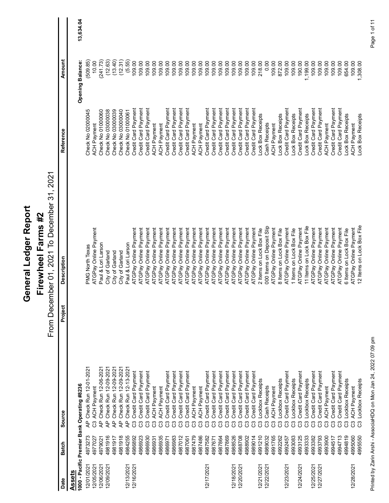| AP Check Run 12-01-2021<br>1000 - Pacific Premier Bank Operating #8236<br>ACH Payment<br>Source<br>$\overline{A}$<br>පී<br>4973273<br>720<br>4979021<br><b>Batch</b><br>4977<br>12/01/2021<br>12/05/2021<br>12/06/2021<br>12/09/2021<br><b>Assets</b><br>Date |         | Firewheel Farms #2                                 |                                                               |                                               |                 |
|---------------------------------------------------------------------------------------------------------------------------------------------------------------------------------------------------------------------------------------------------------------|---------|----------------------------------------------------|---------------------------------------------------------------|-----------------------------------------------|-----------------|
|                                                                                                                                                                                                                                                               |         | 2021<br>From December 01, 2021 To December 31,     |                                                               |                                               |                 |
|                                                                                                                                                                                                                                                               | Project | <b>Description</b>                                 | Reference                                                     | Amount                                        |                 |
|                                                                                                                                                                                                                                                               |         |                                                    |                                                               | <b>Opening Balance:</b>                       | 13,634.04       |
|                                                                                                                                                                                                                                                               |         | PMG North Texas                                    | Check No 02000045                                             | (509.85)                                      |                 |
|                                                                                                                                                                                                                                                               |         |                                                    | ACH Payment                                                   | 10.00                                         |                 |
|                                                                                                                                                                                                                                                               |         | ATGPay Online Payment<br>Paul & Lori Larson        | Check No 01000060<br>Check No 03000038                        | $\overline{73}$<br>(241)                      |                 |
| 0 Check Run 12-06-2021<br>0 Check Run 12-09-2021<br>0 Check Run 12-09-2021<br>$\overline{A}$<br>4981916                                                                                                                                                       |         | City of Garland                                    | Check No 03000039                                             | (12.63)                                       |                 |
| Check Run 12-09-2021<br>ቆ<br>ਟ੍ਰਿ<br>4981917                                                                                                                                                                                                                  |         | City of Garland<br>City of Garland                 | Check No 03000040                                             | (13.40)<br>$\widetilde{31}$<br>$\overline{2}$ |                 |
| Check Run 12-13-2021<br>ᡶ<br>4981918<br>4984255<br>12/13/2021<br>12/16/2021                                                                                                                                                                                   |         | Paul & Lori Larson                                 | Check No 01000061                                             | 55)<br>6                                      |                 |
| Credit Card Payment<br>ී<br>4986892                                                                                                                                                                                                                           |         | ATGPay Online Payment                              | Credit Card Payment                                           | 109.00                                        |                 |
| Credit Card Payment<br>පී<br>4986923<br>4986930                                                                                                                                                                                                               |         | ATGPay Online Payment<br>ATGPay Online Payment     | Credit Card Payment                                           | 109.00                                        |                 |
| Credit Card Payment<br>ACH Payment<br>4986931                                                                                                                                                                                                                 |         | ATGPay Online Payment                              | Credit Card Payment<br>ACH Payment                            | 109.00<br>109.00                              |                 |
| ACH Payment<br>$33333$<br>4986935                                                                                                                                                                                                                             |         | ATGPay Online Payment                              | ACH Payment                                                   | 8<br>$\overline{9}$                           |                 |
| Credit Card Payment<br>4986971                                                                                                                                                                                                                                |         | ATGPay Online Payment                              | Credit Card Payment                                           | 09.00                                         |                 |
| Credit Card Payment<br>4986983                                                                                                                                                                                                                                |         | ATGPay Online Payment                              | Credit Card Payment                                           | 09.00                                         |                 |
| Credit Card Payment<br>Credit Card Payment<br>4987012                                                                                                                                                                                                         |         | ATGPay Online Payment<br>ATGPay Online Payment     | t Card Payment<br>t Card Payment<br>Credit                    | 09.00                                         |                 |
| <b>ACH Payment</b><br>4987479<br>4987061                                                                                                                                                                                                                      |         | ATGPay Online Payment                              | ACH Payment<br>Credit                                         | 09.00<br>S<br>80                              |                 |
| <b>ACH Payment</b><br>4987486                                                                                                                                                                                                                                 |         | ATGPay Online Payment                              | ACH Payment                                                   | 09.00                                         |                 |
| Credit Card Payment<br>4987582<br>12/17/2021                                                                                                                                                                                                                  |         | ATGPay Online Payment                              | Credit Card Payment                                           | 109.00                                        |                 |
| Credit Card Payment<br>4987671<br>4987864                                                                                                                                                                                                                     |         | ATGPay Online Payment                              | Card Payment<br>Credit                                        | S.<br>$\overline{8}$                          |                 |
| Credit Card Payment<br>Credit Card Payment<br>4987869                                                                                                                                                                                                         |         | ATGPay Online Payment<br>ATGPay Online Payment     | Payment<br>Credit Card Payment<br>Credit Card                 | 109.00<br>S<br>109.                           |                 |
| Credit Card Payment<br>333333333<br>4988526<br>12/18/2021                                                                                                                                                                                                     |         | ATGPay Online Payment                              | Credit Card Payment                                           | 109.00                                        |                 |
| යී යී<br>4988708<br>4988902<br>12/20/2021                                                                                                                                                                                                                     |         | ATGPay Online Payment<br>ATGPay Online Payment     | Card Payment<br>Credit                                        | 109.00                                        |                 |
| Credit Card Payment<br>Credit Card Payment<br>Credit Card Payment<br>රී<br>4989014                                                                                                                                                                            |         | ATGPay Online Payment                              | Credit Card Payment<br>Card Payment<br>Credit                 | 109.00<br>109.00                              |                 |
| Lockbox Receipts<br>රී<br>210<br>4991<br>12/21/2021                                                                                                                                                                                                           |         | 2 Items on Lock Box File                           | Lock Box Receipts                                             | 218.00                                        |                 |
| <b>Cash Receipts</b><br>ී<br>4989032<br>12/22/2021                                                                                                                                                                                                            |         | 000 Items on Deposit Slip                          | Receipts<br>Cash                                              | 0.00                                          |                 |
| ACH Payment<br>765<br>4991                                                                                                                                                                                                                                    |         | ATGPay Online Payment                              | Payment<br><b>HOK</b>                                         | 109.00                                        |                 |
| Lockbox Receipts<br>333<br>4992262                                                                                                                                                                                                                            |         | 8 Items on Lock Box File                           | <b>Box Receipts</b><br>.ock                                   | S<br>872.                                     |                 |
| Credit Card Payment<br>ී<br>4992457<br>12/23/2021                                                                                                                                                                                                             |         | ATGPay Online Payment                              | Credit Card Payment                                           | 109.00                                        |                 |
| Credit Card Payment<br>Lockbox Receipts<br>4993125<br>4993083<br>12/24/2021                                                                                                                                                                                   |         | ATGPay Online Payment<br>1 Items on Lock Box File  | Credit Card Payment<br>Lock Box Receipts                      | 190.00<br>109.00                              |                 |
| Lockbox Receipts<br>පී පී<br>4993333                                                                                                                                                                                                                          |         | Items on Lock Box File<br>Ξ                        | Lock Box Receipts                                             | 199.00<br>$\div$                              |                 |
| Credit Card Payment<br>පී<br>4993382<br>12/25/2021<br>12/27/2021                                                                                                                                                                                              |         | ATGPay Online Payment                              | Credit Card Payment                                           | 109.00                                        |                 |
| Credit Card Payment<br>ී<br>4993793                                                                                                                                                                                                                           |         | ATGPay Online Payment                              | Credit Card Payment                                           | 109.00                                        |                 |
| <b>ACH Payment</b><br>ී<br>4993900<br>4994517                                                                                                                                                                                                                 |         | ATGPay Online Payment                              | <b>ACH Payment</b>                                            | 109.00<br>109.00                              |                 |
| Credit Card Payment<br>Credit Card Payment                                                                                                                                                                                                                    |         | ATGPay Online Payment<br>ATGPay Online Payment     | Card Payment<br>Payment<br>Credit Card<br>Credit <sup>1</sup> | S<br><u>og</u>                                |                 |
| Lockbox Receipts<br>4994713<br>4994819                                                                                                                                                                                                                        |         | 6 Items on Lock Box File                           | Lock Box Receipts                                             | 654.00                                        |                 |
| <b>ACH Payment</b><br>33333<br>4995060<br>12/28/2021                                                                                                                                                                                                          |         | 12 Items on Lock Box File<br>ATGPay Online Payment | ock Box Receipts<br><b>ACH Payment</b>                        | 109.00<br>,308.00                             |                 |
|                                                                                                                                                                                                                                                               |         |                                                    |                                                               |                                               |                 |
| Lockbox Receipts<br>4995550                                                                                                                                                                                                                                   |         |                                                    |                                                               |                                               |                 |
| Printed by Zarin Arshi - AssociaHDQ on Mon Jan 24, 2022 07:09 pm                                                                                                                                                                                              |         |                                                    |                                                               |                                               | of 11<br>Page 1 |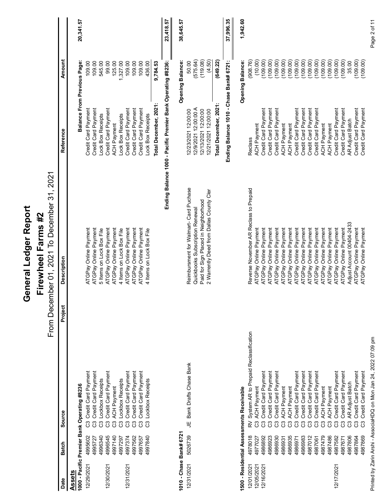| <b>Balance From Previous Page:</b><br>Pacific Premier Bank Operating #8236:<br>ding Balance 1010 - Chase<br>Total December, 2021:<br>Total December, 2021:<br>Credit Card Payment<br>Credit Card Payment<br>Credit Card Payment<br>Credit Card Payment<br>12/9/2021 12:00:00 A<br>12/13/2021 12:00:00<br>12/21/2021 12:00:00<br>Credit Card Payment<br>Credit Card Payment<br>Credit Card Payment<br>Credit Card Payment<br>Credit Card Payment<br>Card Payment<br>Payment<br>Credit Card Payment<br>Credit Card Payment<br>Credit Card Payment<br>Credit Card Payment<br>Card Payment<br>12/23/2021 12:00:00<br>Lock Box Receipts<br>Lock Box Receipts<br>Lock Box Receipts<br><b>AR Adjust Batch</b><br><b>ACH Payment</b><br>ACH Payment<br><b>ACH Payment</b><br>ACH Payment<br>ACH Payment<br><b>ACH Payment</b><br>Reference<br>Card<br>Reclass<br>Credit<br>Credit<br>Credit<br>띹<br>Ending Balance 1000<br>2021<br>Reimbursment for Walmart- Card Puchase<br>Reverse November AR Reclass to Prepaid<br>Paid for Sign Placed in Neighborhood<br>2 Warrently Deed from Dallas County Cler<br>From December 01, 2021 To December 31,<br>Quickbooks Subscription Renewal<br>Firewheel Farms #2<br>Adjust Account 00404-2433<br>ATGPay Online Payment<br>ATGPay Online Payment<br>ATGPay Online Payment<br>ATGPay Online Payment<br>ATGPay Online Payment<br>ATGPay Online Payment<br>ATGPay Online Payment<br>ATGPay Online Payment<br>ATGPay Online Payment<br>5 Items on Lock Box File<br>ATGPay Online Payment<br>4 Items on Lock Box File<br>ATGPay Online Payment<br>ATGPay Online Payment<br>ATGPay Online Payment<br>ATGPay Online Payment<br>Online Payment<br>ATGPay Online Payment<br>ATGPay Online Payment<br>ATGPay Online Payment<br>ATGPay Online Payment<br>ATGPay Online Payment<br>ATGPay Online Payment<br>ATGPay Online Payment<br>4 Items on Lock Box File<br><b>Description</b><br>ATGPay<br>Project<br>System AR to Prepaid Reclassification<br>JE Bank Drafts Chase Bank<br>Credit Card Payment<br>Credit Card Payment<br>Credit Card Payment<br>Credit Card Payment<br>Credit Card Payment<br>Credit Card Payment<br>Credit Card Payment<br>Credit Card Payment<br>Credit Card Payment<br>Credit Card Payment<br>Credit Card Payment<br>Credit Card Payment<br>Credit Card Payment<br>Credit Card Payment<br>Payment<br>Credit Card Payment<br>Lockbox Receipts<br>Lockbox Receipts<br>Lockbox Receipts<br><b>AR Adjust Batch</b><br>1000 - Pacific Premier Bank Operating #8236<br>ACH Payment<br><b>ACH Payment</b><br>ACH Payment<br>ACH Payment<br><b>ACH Payment</b><br>ACH Payment<br>sessments Receivable<br>Credit Card<br>Source<br>3333333333<br>$\geq 333333333333333333333$<br>1010 - Chase Bank# 6721<br>5026739<br>4995602<br>4996545<br>4997140<br>4978018<br>4996340<br>4986892<br>4986935<br>4987479<br>4987486<br>4987806<br>4987869<br>4997374<br>4997562<br>4997657<br>4997840<br>4986923<br>4986930<br>4986931<br>4986983<br>4987012<br>4987061<br>4987582<br>4987671<br>4987864<br>77<br>4997297<br>4977027<br>4986971<br><b>Batch</b><br>1500 - Residential As<br>49957<br>12/31/2021<br>12/01/2021<br>12/29/2021<br>12/05/2021<br>12/16/2021<br>12/30/2021<br>12/31/2021<br>12/17/2021<br><b>Assets</b><br>Date |
|---------------------------------------------------------------------------------------------------------------------------------------------------------------------------------------------------------------------------------------------------------------------------------------------------------------------------------------------------------------------------------------------------------------------------------------------------------------------------------------------------------------------------------------------------------------------------------------------------------------------------------------------------------------------------------------------------------------------------------------------------------------------------------------------------------------------------------------------------------------------------------------------------------------------------------------------------------------------------------------------------------------------------------------------------------------------------------------------------------------------------------------------------------------------------------------------------------------------------------------------------------------------------------------------------------------------------------------------------------------------------------------------------------------------------------------------------------------------------------------------------------------------------------------------------------------------------------------------------------------------------------------------------------------------------------------------------------------------------------------------------------------------------------------------------------------------------------------------------------------------------------------------------------------------------------------------------------------------------------------------------------------------------------------------------------------------------------------------------------------------------------------------------------------------------------------------------------------------------------------------------------------------------------------------------------------------------------------------------------------------------------------------------------------------------------------------------------------------------------------------------------------------------------------------------------------------------------------------------------------------------------------------------------------------------------------------------------------------------------------------------------------------------------------------------------------------------------------------------------------------------------------------------------------------------------------------------------------------------------------------------------------------------------------------------------------------------------------------------------------------------------------------------------------------------------------------------------------------------------------------------------------------|
|                                                                                                                                                                                                                                                                                                                                                                                                                                                                                                                                                                                                                                                                                                                                                                                                                                                                                                                                                                                                                                                                                                                                                                                                                                                                                                                                                                                                                                                                                                                                                                                                                                                                                                                                                                                                                                                                                                                                                                                                                                                                                                                                                                                                                                                                                                                                                                                                                                                                                                                                                                                                                                                                                                                                                                                                                                                                                                                                                                                                                                                                                                                                                                                                                                                                     |
|                                                                                                                                                                                                                                                                                                                                                                                                                                                                                                                                                                                                                                                                                                                                                                                                                                                                                                                                                                                                                                                                                                                                                                                                                                                                                                                                                                                                                                                                                                                                                                                                                                                                                                                                                                                                                                                                                                                                                                                                                                                                                                                                                                                                                                                                                                                                                                                                                                                                                                                                                                                                                                                                                                                                                                                                                                                                                                                                                                                                                                                                                                                                                                                                                                                                     |
|                                                                                                                                                                                                                                                                                                                                                                                                                                                                                                                                                                                                                                                                                                                                                                                                                                                                                                                                                                                                                                                                                                                                                                                                                                                                                                                                                                                                                                                                                                                                                                                                                                                                                                                                                                                                                                                                                                                                                                                                                                                                                                                                                                                                                                                                                                                                                                                                                                                                                                                                                                                                                                                                                                                                                                                                                                                                                                                                                                                                                                                                                                                                                                                                                                                                     |
|                                                                                                                                                                                                                                                                                                                                                                                                                                                                                                                                                                                                                                                                                                                                                                                                                                                                                                                                                                                                                                                                                                                                                                                                                                                                                                                                                                                                                                                                                                                                                                                                                                                                                                                                                                                                                                                                                                                                                                                                                                                                                                                                                                                                                                                                                                                                                                                                                                                                                                                                                                                                                                                                                                                                                                                                                                                                                                                                                                                                                                                                                                                                                                                                                                                                     |
|                                                                                                                                                                                                                                                                                                                                                                                                                                                                                                                                                                                                                                                                                                                                                                                                                                                                                                                                                                                                                                                                                                                                                                                                                                                                                                                                                                                                                                                                                                                                                                                                                                                                                                                                                                                                                                                                                                                                                                                                                                                                                                                                                                                                                                                                                                                                                                                                                                                                                                                                                                                                                                                                                                                                                                                                                                                                                                                                                                                                                                                                                                                                                                                                                                                                     |
|                                                                                                                                                                                                                                                                                                                                                                                                                                                                                                                                                                                                                                                                                                                                                                                                                                                                                                                                                                                                                                                                                                                                                                                                                                                                                                                                                                                                                                                                                                                                                                                                                                                                                                                                                                                                                                                                                                                                                                                                                                                                                                                                                                                                                                                                                                                                                                                                                                                                                                                                                                                                                                                                                                                                                                                                                                                                                                                                                                                                                                                                                                                                                                                                                                                                     |
|                                                                                                                                                                                                                                                                                                                                                                                                                                                                                                                                                                                                                                                                                                                                                                                                                                                                                                                                                                                                                                                                                                                                                                                                                                                                                                                                                                                                                                                                                                                                                                                                                                                                                                                                                                                                                                                                                                                                                                                                                                                                                                                                                                                                                                                                                                                                                                                                                                                                                                                                                                                                                                                                                                                                                                                                                                                                                                                                                                                                                                                                                                                                                                                                                                                                     |
|                                                                                                                                                                                                                                                                                                                                                                                                                                                                                                                                                                                                                                                                                                                                                                                                                                                                                                                                                                                                                                                                                                                                                                                                                                                                                                                                                                                                                                                                                                                                                                                                                                                                                                                                                                                                                                                                                                                                                                                                                                                                                                                                                                                                                                                                                                                                                                                                                                                                                                                                                                                                                                                                                                                                                                                                                                                                                                                                                                                                                                                                                                                                                                                                                                                                     |
|                                                                                                                                                                                                                                                                                                                                                                                                                                                                                                                                                                                                                                                                                                                                                                                                                                                                                                                                                                                                                                                                                                                                                                                                                                                                                                                                                                                                                                                                                                                                                                                                                                                                                                                                                                                                                                                                                                                                                                                                                                                                                                                                                                                                                                                                                                                                                                                                                                                                                                                                                                                                                                                                                                                                                                                                                                                                                                                                                                                                                                                                                                                                                                                                                                                                     |
|                                                                                                                                                                                                                                                                                                                                                                                                                                                                                                                                                                                                                                                                                                                                                                                                                                                                                                                                                                                                                                                                                                                                                                                                                                                                                                                                                                                                                                                                                                                                                                                                                                                                                                                                                                                                                                                                                                                                                                                                                                                                                                                                                                                                                                                                                                                                                                                                                                                                                                                                                                                                                                                                                                                                                                                                                                                                                                                                                                                                                                                                                                                                                                                                                                                                     |
|                                                                                                                                                                                                                                                                                                                                                                                                                                                                                                                                                                                                                                                                                                                                                                                                                                                                                                                                                                                                                                                                                                                                                                                                                                                                                                                                                                                                                                                                                                                                                                                                                                                                                                                                                                                                                                                                                                                                                                                                                                                                                                                                                                                                                                                                                                                                                                                                                                                                                                                                                                                                                                                                                                                                                                                                                                                                                                                                                                                                                                                                                                                                                                                                                                                                     |
|                                                                                                                                                                                                                                                                                                                                                                                                                                                                                                                                                                                                                                                                                                                                                                                                                                                                                                                                                                                                                                                                                                                                                                                                                                                                                                                                                                                                                                                                                                                                                                                                                                                                                                                                                                                                                                                                                                                                                                                                                                                                                                                                                                                                                                                                                                                                                                                                                                                                                                                                                                                                                                                                                                                                                                                                                                                                                                                                                                                                                                                                                                                                                                                                                                                                     |
|                                                                                                                                                                                                                                                                                                                                                                                                                                                                                                                                                                                                                                                                                                                                                                                                                                                                                                                                                                                                                                                                                                                                                                                                                                                                                                                                                                                                                                                                                                                                                                                                                                                                                                                                                                                                                                                                                                                                                                                                                                                                                                                                                                                                                                                                                                                                                                                                                                                                                                                                                                                                                                                                                                                                                                                                                                                                                                                                                                                                                                                                                                                                                                                                                                                                     |
|                                                                                                                                                                                                                                                                                                                                                                                                                                                                                                                                                                                                                                                                                                                                                                                                                                                                                                                                                                                                                                                                                                                                                                                                                                                                                                                                                                                                                                                                                                                                                                                                                                                                                                                                                                                                                                                                                                                                                                                                                                                                                                                                                                                                                                                                                                                                                                                                                                                                                                                                                                                                                                                                                                                                                                                                                                                                                                                                                                                                                                                                                                                                                                                                                                                                     |
|                                                                                                                                                                                                                                                                                                                                                                                                                                                                                                                                                                                                                                                                                                                                                                                                                                                                                                                                                                                                                                                                                                                                                                                                                                                                                                                                                                                                                                                                                                                                                                                                                                                                                                                                                                                                                                                                                                                                                                                                                                                                                                                                                                                                                                                                                                                                                                                                                                                                                                                                                                                                                                                                                                                                                                                                                                                                                                                                                                                                                                                                                                                                                                                                                                                                     |
|                                                                                                                                                                                                                                                                                                                                                                                                                                                                                                                                                                                                                                                                                                                                                                                                                                                                                                                                                                                                                                                                                                                                                                                                                                                                                                                                                                                                                                                                                                                                                                                                                                                                                                                                                                                                                                                                                                                                                                                                                                                                                                                                                                                                                                                                                                                                                                                                                                                                                                                                                                                                                                                                                                                                                                                                                                                                                                                                                                                                                                                                                                                                                                                                                                                                     |
|                                                                                                                                                                                                                                                                                                                                                                                                                                                                                                                                                                                                                                                                                                                                                                                                                                                                                                                                                                                                                                                                                                                                                                                                                                                                                                                                                                                                                                                                                                                                                                                                                                                                                                                                                                                                                                                                                                                                                                                                                                                                                                                                                                                                                                                                                                                                                                                                                                                                                                                                                                                                                                                                                                                                                                                                                                                                                                                                                                                                                                                                                                                                                                                                                                                                     |
|                                                                                                                                                                                                                                                                                                                                                                                                                                                                                                                                                                                                                                                                                                                                                                                                                                                                                                                                                                                                                                                                                                                                                                                                                                                                                                                                                                                                                                                                                                                                                                                                                                                                                                                                                                                                                                                                                                                                                                                                                                                                                                                                                                                                                                                                                                                                                                                                                                                                                                                                                                                                                                                                                                                                                                                                                                                                                                                                                                                                                                                                                                                                                                                                                                                                     |
|                                                                                                                                                                                                                                                                                                                                                                                                                                                                                                                                                                                                                                                                                                                                                                                                                                                                                                                                                                                                                                                                                                                                                                                                                                                                                                                                                                                                                                                                                                                                                                                                                                                                                                                                                                                                                                                                                                                                                                                                                                                                                                                                                                                                                                                                                                                                                                                                                                                                                                                                                                                                                                                                                                                                                                                                                                                                                                                                                                                                                                                                                                                                                                                                                                                                     |
|                                                                                                                                                                                                                                                                                                                                                                                                                                                                                                                                                                                                                                                                                                                                                                                                                                                                                                                                                                                                                                                                                                                                                                                                                                                                                                                                                                                                                                                                                                                                                                                                                                                                                                                                                                                                                                                                                                                                                                                                                                                                                                                                                                                                                                                                                                                                                                                                                                                                                                                                                                                                                                                                                                                                                                                                                                                                                                                                                                                                                                                                                                                                                                                                                                                                     |
|                                                                                                                                                                                                                                                                                                                                                                                                                                                                                                                                                                                                                                                                                                                                                                                                                                                                                                                                                                                                                                                                                                                                                                                                                                                                                                                                                                                                                                                                                                                                                                                                                                                                                                                                                                                                                                                                                                                                                                                                                                                                                                                                                                                                                                                                                                                                                                                                                                                                                                                                                                                                                                                                                                                                                                                                                                                                                                                                                                                                                                                                                                                                                                                                                                                                     |
|                                                                                                                                                                                                                                                                                                                                                                                                                                                                                                                                                                                                                                                                                                                                                                                                                                                                                                                                                                                                                                                                                                                                                                                                                                                                                                                                                                                                                                                                                                                                                                                                                                                                                                                                                                                                                                                                                                                                                                                                                                                                                                                                                                                                                                                                                                                                                                                                                                                                                                                                                                                                                                                                                                                                                                                                                                                                                                                                                                                                                                                                                                                                                                                                                                                                     |
|                                                                                                                                                                                                                                                                                                                                                                                                                                                                                                                                                                                                                                                                                                                                                                                                                                                                                                                                                                                                                                                                                                                                                                                                                                                                                                                                                                                                                                                                                                                                                                                                                                                                                                                                                                                                                                                                                                                                                                                                                                                                                                                                                                                                                                                                                                                                                                                                                                                                                                                                                                                                                                                                                                                                                                                                                                                                                                                                                                                                                                                                                                                                                                                                                                                                     |
|                                                                                                                                                                                                                                                                                                                                                                                                                                                                                                                                                                                                                                                                                                                                                                                                                                                                                                                                                                                                                                                                                                                                                                                                                                                                                                                                                                                                                                                                                                                                                                                                                                                                                                                                                                                                                                                                                                                                                                                                                                                                                                                                                                                                                                                                                                                                                                                                                                                                                                                                                                                                                                                                                                                                                                                                                                                                                                                                                                                                                                                                                                                                                                                                                                                                     |
|                                                                                                                                                                                                                                                                                                                                                                                                                                                                                                                                                                                                                                                                                                                                                                                                                                                                                                                                                                                                                                                                                                                                                                                                                                                                                                                                                                                                                                                                                                                                                                                                                                                                                                                                                                                                                                                                                                                                                                                                                                                                                                                                                                                                                                                                                                                                                                                                                                                                                                                                                                                                                                                                                                                                                                                                                                                                                                                                                                                                                                                                                                                                                                                                                                                                     |
|                                                                                                                                                                                                                                                                                                                                                                                                                                                                                                                                                                                                                                                                                                                                                                                                                                                                                                                                                                                                                                                                                                                                                                                                                                                                                                                                                                                                                                                                                                                                                                                                                                                                                                                                                                                                                                                                                                                                                                                                                                                                                                                                                                                                                                                                                                                                                                                                                                                                                                                                                                                                                                                                                                                                                                                                                                                                                                                                                                                                                                                                                                                                                                                                                                                                     |
|                                                                                                                                                                                                                                                                                                                                                                                                                                                                                                                                                                                                                                                                                                                                                                                                                                                                                                                                                                                                                                                                                                                                                                                                                                                                                                                                                                                                                                                                                                                                                                                                                                                                                                                                                                                                                                                                                                                                                                                                                                                                                                                                                                                                                                                                                                                                                                                                                                                                                                                                                                                                                                                                                                                                                                                                                                                                                                                                                                                                                                                                                                                                                                                                                                                                     |
|                                                                                                                                                                                                                                                                                                                                                                                                                                                                                                                                                                                                                                                                                                                                                                                                                                                                                                                                                                                                                                                                                                                                                                                                                                                                                                                                                                                                                                                                                                                                                                                                                                                                                                                                                                                                                                                                                                                                                                                                                                                                                                                                                                                                                                                                                                                                                                                                                                                                                                                                                                                                                                                                                                                                                                                                                                                                                                                                                                                                                                                                                                                                                                                                                                                                     |
|                                                                                                                                                                                                                                                                                                                                                                                                                                                                                                                                                                                                                                                                                                                                                                                                                                                                                                                                                                                                                                                                                                                                                                                                                                                                                                                                                                                                                                                                                                                                                                                                                                                                                                                                                                                                                                                                                                                                                                                                                                                                                                                                                                                                                                                                                                                                                                                                                                                                                                                                                                                                                                                                                                                                                                                                                                                                                                                                                                                                                                                                                                                                                                                                                                                                     |
|                                                                                                                                                                                                                                                                                                                                                                                                                                                                                                                                                                                                                                                                                                                                                                                                                                                                                                                                                                                                                                                                                                                                                                                                                                                                                                                                                                                                                                                                                                                                                                                                                                                                                                                                                                                                                                                                                                                                                                                                                                                                                                                                                                                                                                                                                                                                                                                                                                                                                                                                                                                                                                                                                                                                                                                                                                                                                                                                                                                                                                                                                                                                                                                                                                                                     |
|                                                                                                                                                                                                                                                                                                                                                                                                                                                                                                                                                                                                                                                                                                                                                                                                                                                                                                                                                                                                                                                                                                                                                                                                                                                                                                                                                                                                                                                                                                                                                                                                                                                                                                                                                                                                                                                                                                                                                                                                                                                                                                                                                                                                                                                                                                                                                                                                                                                                                                                                                                                                                                                                                                                                                                                                                                                                                                                                                                                                                                                                                                                                                                                                                                                                     |
|                                                                                                                                                                                                                                                                                                                                                                                                                                                                                                                                                                                                                                                                                                                                                                                                                                                                                                                                                                                                                                                                                                                                                                                                                                                                                                                                                                                                                                                                                                                                                                                                                                                                                                                                                                                                                                                                                                                                                                                                                                                                                                                                                                                                                                                                                                                                                                                                                                                                                                                                                                                                                                                                                                                                                                                                                                                                                                                                                                                                                                                                                                                                                                                                                                                                     |
|                                                                                                                                                                                                                                                                                                                                                                                                                                                                                                                                                                                                                                                                                                                                                                                                                                                                                                                                                                                                                                                                                                                                                                                                                                                                                                                                                                                                                                                                                                                                                                                                                                                                                                                                                                                                                                                                                                                                                                                                                                                                                                                                                                                                                                                                                                                                                                                                                                                                                                                                                                                                                                                                                                                                                                                                                                                                                                                                                                                                                                                                                                                                                                                                                                                                     |
|                                                                                                                                                                                                                                                                                                                                                                                                                                                                                                                                                                                                                                                                                                                                                                                                                                                                                                                                                                                                                                                                                                                                                                                                                                                                                                                                                                                                                                                                                                                                                                                                                                                                                                                                                                                                                                                                                                                                                                                                                                                                                                                                                                                                                                                                                                                                                                                                                                                                                                                                                                                                                                                                                                                                                                                                                                                                                                                                                                                                                                                                                                                                                                                                                                                                     |
|                                                                                                                                                                                                                                                                                                                                                                                                                                                                                                                                                                                                                                                                                                                                                                                                                                                                                                                                                                                                                                                                                                                                                                                                                                                                                                                                                                                                                                                                                                                                                                                                                                                                                                                                                                                                                                                                                                                                                                                                                                                                                                                                                                                                                                                                                                                                                                                                                                                                                                                                                                                                                                                                                                                                                                                                                                                                                                                                                                                                                                                                                                                                                                                                                                                                     |
|                                                                                                                                                                                                                                                                                                                                                                                                                                                                                                                                                                                                                                                                                                                                                                                                                                                                                                                                                                                                                                                                                                                                                                                                                                                                                                                                                                                                                                                                                                                                                                                                                                                                                                                                                                                                                                                                                                                                                                                                                                                                                                                                                                                                                                                                                                                                                                                                                                                                                                                                                                                                                                                                                                                                                                                                                                                                                                                                                                                                                                                                                                                                                                                                                                                                     |
|                                                                                                                                                                                                                                                                                                                                                                                                                                                                                                                                                                                                                                                                                                                                                                                                                                                                                                                                                                                                                                                                                                                                                                                                                                                                                                                                                                                                                                                                                                                                                                                                                                                                                                                                                                                                                                                                                                                                                                                                                                                                                                                                                                                                                                                                                                                                                                                                                                                                                                                                                                                                                                                                                                                                                                                                                                                                                                                                                                                                                                                                                                                                                                                                                                                                     |
| Credit Card Payment<br>ATGPay Online Payment<br>Credit Card Payment                                                                                                                                                                                                                                                                                                                                                                                                                                                                                                                                                                                                                                                                                                                                                                                                                                                                                                                                                                                                                                                                                                                                                                                                                                                                                                                                                                                                                                                                                                                                                                                                                                                                                                                                                                                                                                                                                                                                                                                                                                                                                                                                                                                                                                                                                                                                                                                                                                                                                                                                                                                                                                                                                                                                                                                                                                                                                                                                                                                                                                                                                                                                                                                                 |
| - AssociaHDQ on Mon Jan 24, 2022 07:09 pm<br>Printed by Zarin Arshi                                                                                                                                                                                                                                                                                                                                                                                                                                                                                                                                                                                                                                                                                                                                                                                                                                                                                                                                                                                                                                                                                                                                                                                                                                                                                                                                                                                                                                                                                                                                                                                                                                                                                                                                                                                                                                                                                                                                                                                                                                                                                                                                                                                                                                                                                                                                                                                                                                                                                                                                                                                                                                                                                                                                                                                                                                                                                                                                                                                                                                                                                                                                                                                                 |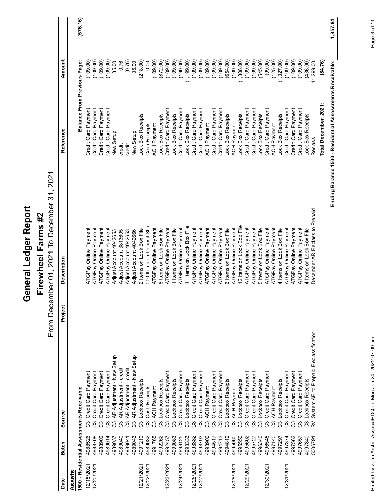|                                                                   |                                                     | General Ledger Report                                                |                                                 |                                    |              |
|-------------------------------------------------------------------|-----------------------------------------------------|----------------------------------------------------------------------|-------------------------------------------------|------------------------------------|--------------|
|                                                                   |                                                     | 2021<br>From December 01, 2021 To December 31,<br>Firewheel Farms #2 |                                                 |                                    |              |
| <b>Batch</b><br>Date                                              | Project<br>Source                                   | <b>Description</b>                                                   | Reference                                       | Amount                             |              |
| Assets                                                            |                                                     |                                                                      |                                                 |                                    |              |
| 1500 - Residential Ass                                            | essments Receivable                                 |                                                                      | <b>Balance From Previous Page:</b>              |                                    | (576.16)     |
| ឌ ឌ ឌ<br>یې<br>4988708<br>498852<br>12/18/2021<br>12/20/2021      | Credit Card Payment<br>Credit Card Payment          | ATGPay Online Payment<br>ATGPay Online Payment                       | Credit Card Payment<br>Credit Card Payment      | (109.00)<br>(109.00)               |              |
| 4988902                                                           | Payment<br>Credit Card                              | ATGPay Online Payment                                                | tredit Card Payment                             | (109.00)                           |              |
| රී<br>4989014<br>4989037                                          | Credit Card Payment                                 | ATGPay Online Payment                                                | Credit Card Payment                             | (109.00)                           |              |
|                                                                   | AR Adjustment - New Setup                           | Adjust Account 4042653                                               | New Setup                                       | 35.00                              |              |
| $33333333$<br>4989040<br>4989041                                  | AR Adjustment - credit                              | Adjust Account 3813605<br>Adjust Account 4042653                     | credit<br>credit                                | (0.76)<br>0.76                     |              |
| 4989043                                                           | AR Adjustment - credit<br>AR Adjustment - New Setup | Adjust Account 4042666                                               | <b>Jew Setup</b>                                | $\overline{S}$<br>35.              |              |
| 4991210<br>12/21/2021                                             | Lockbox Receipts                                    | 2 Items on Lock Box File                                             | Lock Box Receipts                               | (218.00)                           |              |
| 4989032<br>12/22/2021                                             | <b>Cash Receipts</b>                                | 000 Items on Deposit Slip                                            | ash Receipts                                    | 0.00                               |              |
| 4991765<br>4992262<br>4992457                                     | ACH Payment<br>Lockbox Receipts                     | ATGPay Online Payment<br>8 Items on Lock Box File                    | <b>Box Receipts</b><br>ACH Payment<br>Lock      | (109.00)<br>$\widehat{8}$<br>(872) |              |
| 12/23/2021                                                        | Credit Card Payment                                 | ATGPay Online Payment                                                | Credit Card Payment                             | (109.00)                           |              |
| 4993083                                                           | Lockbox Receipts                                    | 1 Items on Lock Box File                                             | Lock Box Receipts                               | (109.00)                           |              |
| និននិននិ<br>4993125<br>4993333<br>12/24/2021                      | Credit Card Payment                                 | ATGPay Online Payment                                                | Credit Card Payment                             | (190.00)                           |              |
|                                                                   | Lockbox Receipts                                    | Items on Lock Box File<br>Ξ                                          | Lock Box Receipts                               | $\overline{5}$<br>199<br>Ê,        |              |
| රී<br>4993382<br>4993793<br>12/25/2021<br>12/27/2021              | Credit Card Payment<br>Credit Card Payment          | ATGPay Online Payment<br>ATGPay Online Payment                       | Credit Card Payment<br>Credit Card Payment      | $\overline{6}$<br>109.00)<br>(109. |              |
| යී යී                                                             | ACH Payment                                         | ATGPay Online Payment                                                | ACH Payment                                     | (109.00)                           |              |
| 4993900<br>4994517<br>4994713                                     | Credit Card Payment<br>Credit Card Payment          | ATGPay Online Payment                                                | <b>Credit Card Payment</b>                      | (109.00)                           |              |
| ී<br>රී                                                           | Lockbox Receipts                                    | ATGPay Online Payment<br>6 Items on Lock Box File                    | <b>Credit Card Payment</b><br>Lock Box Receipts | (654.00)<br>(109.00)               |              |
| රී<br>4994819<br>4995060<br>12/28/2021                            | <b>ACH Payment</b>                                  | ATGPay Online Payment                                                | <b>ACH Payment</b>                              | (109.00)                           |              |
| යී යී<br>4995550                                                  | Lockbox Receipts                                    | 12 Items on Lock Box File                                            | Lock Box Receipts                               | ,308.00)<br>ご                      |              |
| පී<br>4995602<br>4995727<br>$\overline{\phantom{0}}$<br>12/29/202 | Credit Card Payment<br>Credit Card Payment          | ATGPay Online Payment<br>ATGPay Online Payment                       | Credit Card Payment<br>Credit Card Payment      | (109.00)<br>(109.00)               |              |
| පී<br>4996340                                                     | Lockbox Receipts                                    | 5 Items on Lock Box File                                             | Lock Box Receipts                               | (545.00)                           |              |
| ယ္<br>499654<br>12/30/2021                                        | Credit Card Payment                                 | ATGPay Online Payment                                                | Credit Card Payment                             | (99.00)                            |              |
| ឌី ឌី ឌី<br>4997140                                               | ACH Payment                                         | ATGPay Online Payment                                                | ACH Payment                                     | (125.00)                           |              |
| 4997297                                                           | Lockbox Receipts                                    | 4 Items on Lock Box File                                             | Lock Box Receipts                               | $\odot$<br>327<br>E                |              |
| 4997374<br>12/31/2021                                             | Credit Card Payment                                 | ATGPay Online Payment<br>ATGPay Online Payment                       | Credit Card Payment                             | (109.00)                           |              |
| 8888<br>4997562<br>4997657                                        | Credit Card Payment<br>Credit Card Payment          | ATGPay Online Payment                                                | Credit Card Payment<br>Credit Card Payment      | (109.00)<br>(00.601)               |              |
| 4997840<br>5006791                                                | Lockbox Receipts                                    |                                                                      | Lock Box Receipts                               | (436.00)                           |              |
|                                                                   | System AR to Prepaid Reclassification               | 4 Items on Lock Box File<br>December AR Reclass to Prepaid           | Reclass                                         | 299.00                             |              |
|                                                                   |                                                     |                                                                      | Total December, 2021:                           | (84.76)                            |              |
|                                                                   |                                                     | Ending Balance                                                       | Residential Assessments Receivable:<br>1500     |                                    | 1,857.84     |
|                                                                   |                                                     |                                                                      |                                                 |                                    |              |
|                                                                   |                                                     |                                                                      |                                                 |                                    |              |
|                                                                   |                                                     |                                                                      |                                                 |                                    |              |
| Printed by Zarin Arshi-                                           |                                                     |                                                                      |                                                 |                                    | Page 3 of 11 |
|                                                                   | AssociaHDQ on Mon Jan 24, 2022 07:09 pm             |                                                                      |                                                 |                                    |              |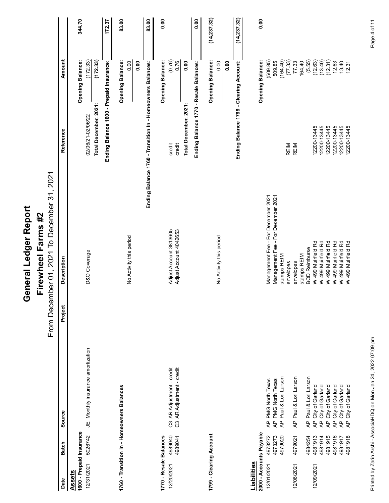| Report |          |
|--------|----------|
|        | 7        |
|        |          |
|        |          |
|        |          |
| -edger | Earme    |
|        |          |
|        |          |
|        |          |
|        |          |
|        | וממחוגים |
|        | ī        |
| Genera | ū        |
|        |          |

|                                                                                                                                               |                                                                          | General Ledger Report                                                                |                                                          |                                    |              |
|-----------------------------------------------------------------------------------------------------------------------------------------------|--------------------------------------------------------------------------|--------------------------------------------------------------------------------------|----------------------------------------------------------|------------------------------------|--------------|
|                                                                                                                                               |                                                                          | From December 01, 2021 To December 31, 2021<br>Firewheel Farms #2                    |                                                          |                                    |              |
| Source<br><b>Batch</b><br>Date                                                                                                                | Project                                                                  | <b>Description</b>                                                                   | ference<br>Ref                                           | <b>Amount</b>                      |              |
| 1600 - Prepaid Insurance<br><b>Assets</b>                                                                                                     |                                                                          |                                                                                      |                                                          | <b>Opening Balance:</b>            | 344.70       |
| 5026742<br>12/31/2021                                                                                                                         | JE Monthly insurance amortization                                        | D&O Coverage                                                                         | Total December, 2021:<br>02/06/21-02/06/22               | (172.33)<br>(172.33)               |              |
|                                                                                                                                               |                                                                          |                                                                                      | Ending                                                   | Balance 1600 - Prepaid Insurance:  | 172.37       |
| 1760 - Transition In - Homeowners Balances                                                                                                    |                                                                          |                                                                                      |                                                          | <b>Opening Balance:</b>            | 83.00        |
|                                                                                                                                               |                                                                          | No Activity this period                                                              |                                                          | 0.00<br>0.00                       |              |
|                                                                                                                                               |                                                                          | Ending Balance 1760 - Tra                                                            |                                                          | nsition In - Homeowners Balances:  | 83.00        |
| 1770 - Resale Balances                                                                                                                        |                                                                          |                                                                                      |                                                          | <b>Opening Balance:</b>            | 0.00         |
| 4989040<br>4989041<br>12/20/2021                                                                                                              | C3 AR Adjustment - credit<br>C3 AR Adjustment - credit                   | Adjust Account 3813605<br>Adjust Account 4042653                                     | credit<br>credi                                          | (0.76)<br>0.76                     |              |
|                                                                                                                                               |                                                                          |                                                                                      | Total December, 2021:                                    | 0.00                               |              |
|                                                                                                                                               |                                                                          |                                                                                      | Ending Balance 1770 - Resale Balances:                   |                                    | 0.00         |
| 1799 - Clearing Account                                                                                                                       |                                                                          |                                                                                      |                                                          | <b>Opening Balance:</b>            | (14, 237.32) |
|                                                                                                                                               |                                                                          | No Activity this period                                                              |                                                          | 0.00<br>0.00                       |              |
|                                                                                                                                               |                                                                          |                                                                                      | Ending                                                   | g Balance 1799 - Clearing Account: | (14, 237.32) |
| 2000 - Accounts Payable<br>Liabilities                                                                                                        |                                                                          |                                                                                      |                                                          | <b>Opening Balance:</b>            | 0.00         |
| 4973272<br>4973273<br>12/01/2021                                                                                                              | AP PMG North Texas<br>AP PMG North Texas                                 | Management Fee - For December 2021<br>Management Fee - For December 2021             |                                                          | (509.85)<br>509.85                 |              |
| $\overline{4}$<br>4979020                                                                                                                     | Paul & Lori Larson                                                       | stamps REIM                                                                          |                                                          | (164.40)                           |              |
| 4979021<br>12/06/2021                                                                                                                         | AP Paul & Lori Larson                                                    | stamps REIM<br>envelopes<br>envelopes                                                | REIM<br>REIM                                             | $(77.33)$<br>$77.33$<br>164.40     |              |
| $\overline{4}$<br>4984254                                                                                                                     | Paul & Lori Larson                                                       | <b>BOD Reimburse</b>                                                                 |                                                          | $(5.55)$<br>$(12.63)$              |              |
| $\overline{A}$<br>$\overline{A}$<br>12/09/2021                                                                                                | City of Garland<br>City of Garland<br>City of Garland<br>City of Garland | W 499 Muirfield Rd<br>W 499 Muirfield Rd                                             | 12200-13445<br>12200-13445                               |                                    |              |
| $\mathsf{A}^\mathsf{p}$                                                                                                                       |                                                                          |                                                                                      |                                                          | $(13.40)$<br>$(12.31)$             |              |
| <b>국 국</b> 국<br>$\begin{array}{r} 4.981913 \\ 4.981914 \\ 4.981916 \\ 4.981916 \\ 4.981916 \\ 4.981916 \\ 4.981917 \\ 6.91918 \\ \end{array}$ | City of Garland<br>City of Garland                                       | W 499 Muirfield Rd<br>W 499 Muirfield Rd<br>W 499 Muirfield Rd<br>W 499 Muirfield Rd | 12200-13445<br>12200-13445<br>12200-13445<br>12200-13445 | 12.63<br>13.40<br>12.31            |              |
|                                                                                                                                               |                                                                          |                                                                                      |                                                          |                                    |              |
|                                                                                                                                               | Printed by Zarin Arshi - AssociaHDQ on Mon Jan 24, 2022 07:09 pm         |                                                                                      |                                                          |                                    | Page 4 of 11 |
|                                                                                                                                               |                                                                          |                                                                                      |                                                          |                                    |              |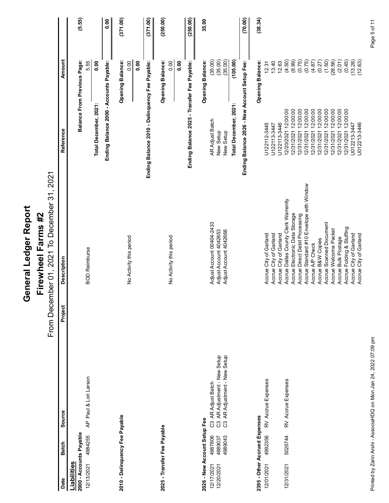|                                                                                                                           | General Ledger Report                                                                          |                                                                                                                                                                                               |                           |              |
|---------------------------------------------------------------------------------------------------------------------------|------------------------------------------------------------------------------------------------|-----------------------------------------------------------------------------------------------------------------------------------------------------------------------------------------------|---------------------------|--------------|
|                                                                                                                           | From December 01, 2021 To December 31, 2021<br>Firewheel Farms #2                              |                                                                                                                                                                                               |                           |              |
| Source<br><b>Batch</b><br>Date                                                                                            | <b>Description</b><br>Project                                                                  | ference<br>Ref                                                                                                                                                                                | <b>Amount</b>             |              |
| Liabilities                                                                                                               |                                                                                                |                                                                                                                                                                                               |                           |              |
| AP Paul & Lori Larson<br>2000 - Accounts Payable<br>4984255<br>12/13/2021                                                 | <b>BOD Reimburse</b>                                                                           | <b>Balance From Previous Page:</b>                                                                                                                                                            | 5.55                      | (5.55)       |
|                                                                                                                           |                                                                                                | Total December, 2021:                                                                                                                                                                         | 0.00                      |              |
|                                                                                                                           |                                                                                                | Ending Balance 2000 - Accounts Payable:                                                                                                                                                       |                           | 0.00         |
| 2010 - Delinquency Fee Payable                                                                                            |                                                                                                |                                                                                                                                                                                               | <b>Opening Balance:</b>   | (371.00)     |
|                                                                                                                           | No Activity this period                                                                        |                                                                                                                                                                                               | 0.00<br>0.00              |              |
|                                                                                                                           |                                                                                                | - Delinquency Fee Payable:<br>ce 2010<br>Ending Balan                                                                                                                                         |                           | (371.00)     |
| 2025 - Transfer Fee Payable                                                                                               |                                                                                                |                                                                                                                                                                                               | <b>Opening Balance:</b>   | (250.00)     |
|                                                                                                                           | No Activity this period                                                                        |                                                                                                                                                                                               | 0.00<br>0.00              |              |
|                                                                                                                           |                                                                                                | Ending Balance 2025 - Transfer Fee Payable:                                                                                                                                                   |                           | (250.00)     |
| 2026 - New Account Setup Fee                                                                                              |                                                                                                |                                                                                                                                                                                               | <b>Opening Balance:</b>   | 35.00        |
| C3 AR Adjust Batch<br>C3 AR Adjustment - New Setup<br>C3 AR Adjustment - New Setup<br>4987806<br>12/17/2021<br>12/20/2021 | Adjust Account 00404-2433                                                                      | AR Adjust Batch<br>Setup<br>New                                                                                                                                                               | (35.00)<br>(35.00)        |              |
| 4989037<br>4989043                                                                                                        | Adjust Account 4042653<br>Adjust Account 4042666                                               | Total December, 2021:<br>Setup<br>New                                                                                                                                                         | (35.00)<br>(105.00)       |              |
|                                                                                                                           |                                                                                                | Ending Balance 2026 - New Account                                                                                                                                                             | Setup Fee:                | (70.00)      |
| 2395 - Other Accrued Expenses                                                                                             |                                                                                                |                                                                                                                                                                                               | <b>Opening Balance:</b>   | (38.34)      |
| RV Accrue Expenses<br>4992356<br>12/01/2021                                                                               | Accrue City of Garland<br>Accrue City of Garland<br>Accrue City of Garland                     | U122112-3445<br>U122113-3447<br>U122113-3446                                                                                                                                                  | 13.40<br>12.63<br>12.31   |              |
| RV Accrue Expenses<br>5026744<br>12/31/2021                                                                               | Accrue Dallas County Clerk Warrently                                                           |                                                                                                                                                                                               | (4.50)                    |              |
|                                                                                                                           | Accrue Electronic Data Storage                                                                 |                                                                                                                                                                                               | (8.99)                    |              |
|                                                                                                                           | Accrue Direct Debit Processing<br>Accrue Standard #10 Envelope with Window<br>Accrue A/P Check | $\begin{array}{l} 12:00:00\\ 12:00:00\\ 12:00:00\\ 12:00:00\\ 12:00:00\\ 12:00:00\\ 12:00:00 \end{array}$<br>12/20/2021<br>12/31/2021<br>12/31/2021<br>12/31/2021<br>12/31/2021<br>12/31/2021 | 0.75)<br>(0.75)<br>(4.87) |              |
|                                                                                                                           | Accrue B&W Copies                                                                              |                                                                                                                                                                                               | $\frac{1}{27}$            |              |
|                                                                                                                           | Accrue Scanned Document<br>Accrue Welcome Packet<br>Accrue Bulk Postage                        |                                                                                                                                                                                               | (1.50)<br>(28.56)         |              |
|                                                                                                                           | Accrue Folding & Stuffing                                                                      | $12.00:00$<br>$12.00:00$<br>$12.00:00$<br>$12.00:00$<br>12/31/2021 12:0<br>12/31/2021 12:0<br>12/31/2021 12:0<br>12/31/2021 12:0<br>1012213-3447                                              | (2.01)<br>(0.45)          |              |
|                                                                                                                           | Accrue City of Garland<br>Accrue City of Garland                                               | U012213-3446                                                                                                                                                                                  | (13.28)<br>(12.63)        |              |
| Printed by Zarin Arshi - AssociaHDQ on Mon Jan 24, 2022 07:09 pm                                                          |                                                                                                |                                                                                                                                                                                               |                           | Page 5 of 11 |
|                                                                                                                           |                                                                                                |                                                                                                                                                                                               |                           |              |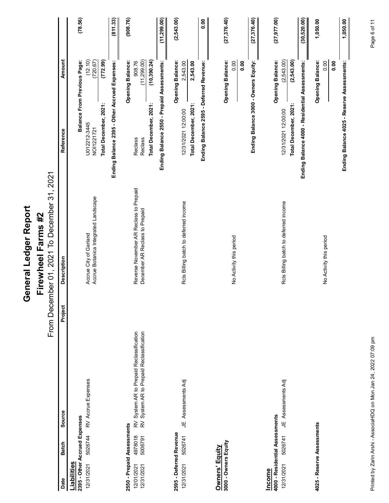| Repor   |   |
|---------|---|
| agger-  | I |
| ieneral |   |
|         | I |

|                                                                              |                                                                                      | General Ledger Report                                                    |                                                                                     |              |
|------------------------------------------------------------------------------|--------------------------------------------------------------------------------------|--------------------------------------------------------------------------|-------------------------------------------------------------------------------------|--------------|
|                                                                              |                                                                                      | From December 01, 2021 To December 31, 2021<br>Firewheel Farms #2        |                                                                                     |              |
| <b>Batch</b><br>Date                                                         | Project<br>Source                                                                    | <b>Description</b>                                                       | <b>Amount</b><br>Reference                                                          |              |
| 2395 - Other Accrued Expenses<br><u>Liabilities</u>                          |                                                                                      |                                                                          | <b>Balance From Previous Page:</b>                                                  | (78.56)      |
| 5026744<br>12/31/2021                                                        | RV Accrue Expenses                                                                   | Accrue City of Garland<br>Accrue Botanica Integrated Landscape           | $(12.10)$<br>$(720.67)$<br>U012212-3445<br>NOI1221721                               |              |
|                                                                              |                                                                                      |                                                                          | (772.99)<br>Total December, 2021:                                                   |              |
|                                                                              |                                                                                      |                                                                          | Ending Balance 2395 - Other Accrued Expenses:                                       | (811.33)     |
| 2550 - Prepaid Assessments<br>4978018<br>5006791<br>12/01/2021<br>12/31/2021 | RV System AR to Prepaid Reclassification<br>RV System AR to Prepaid Reclassification | Reverse November AR Reclass to Prepaid<br>December AR Reclass to Prepaid | 908.76<br>(11,299.00)<br><b>Opening Balance:</b><br>Reclass<br>Reclass              | (908.76)     |
|                                                                              |                                                                                      |                                                                          | (10, 390.24)<br>Ending Balance 2550 - Prepaid Assessments:<br>Total December, 2021: | (11, 299.00) |
| 2595 - Deferred Revenue                                                      |                                                                                      |                                                                          | <b>Opening Balance:</b>                                                             | (2, 543.00)  |
| 5026741<br>12/31/2021                                                        | Assessments Adj<br>ц                                                                 | Rols Billing batch to deferred income                                    | 2,543.00<br>2,543.00<br>Total December, 2021:<br>1/2021 12:00:00<br>12/3            |              |
|                                                                              |                                                                                      |                                                                          | Ending Balance 2595 - Deferred Revenue:                                             | 0.00         |
| <b>Owners' Equity</b><br>3000 - Owners Equity                                |                                                                                      |                                                                          | <b>Opening Balance:</b>                                                             | (27, 376.40) |
|                                                                              |                                                                                      | No Activity this period                                                  |                                                                                     | 0.00<br>0.00 |
|                                                                              |                                                                                      |                                                                          | Ending Balance 3000 - Owners Equity:                                                | (27, 376.40) |
| 4000 - Residential Assessments<br><u>Income</u>                              |                                                                                      |                                                                          | <b>Opening Balance:</b>                                                             | (27, 977.00) |
| 5026741<br>12/31/2021                                                        | JE Assessments Adj                                                                   | Rols Billing batch to deferred income                                    | (2,543.00)<br>(2, 543.00)<br>Total December, 2021:<br>12/31/2021 12:00:00           |              |
|                                                                              |                                                                                      |                                                                          | ce 4000 - Residential Assessments:<br>Ending Balan                                  | (30, 520.00) |
| 4025 - Reserve Assessments                                                   |                                                                                      |                                                                          | <b>Opening Balance:</b>                                                             | 1,050.00     |
|                                                                              |                                                                                      | No Activity this period                                                  |                                                                                     | 0.00<br>0.00 |
|                                                                              |                                                                                      |                                                                          | - Reserve Assessments:<br>ance 4025<br>Ending Bal                                   | 1,050.00     |
|                                                                              |                                                                                      |                                                                          |                                                                                     |              |
|                                                                              | Printed by Zarin Arshi - AssociaHDQ on Mon Jan 24, 2022 07:09 pm                     |                                                                          |                                                                                     | Page 6 of 11 |
|                                                                              |                                                                                      |                                                                          |                                                                                     |              |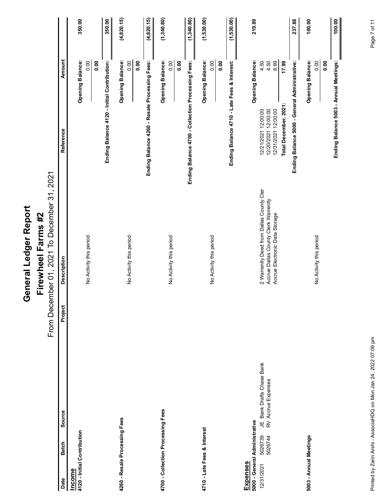| in ind    |
|-----------|
| ההה הד.הה |
|           |
|           |
| Î         |
|           |
|           |
|           |
|           |
|           |
| í         |

| From December 01, 2021 To December 31, 2021<br>2 Warrently Deed from Dallas County Cler<br>Accrue Dallas County Clerk Warrently<br>Accrue Electronic Data Storage<br>Firewheel Farms #2<br>No Activity this period<br>No Activity this period<br>No Activity this period<br>No Activity this period<br>No Activity this period<br><b>Description</b><br>Project<br>JE Bank Drafts Chase Bank<br>RV Accrue Expenses<br>4700 - Collection Processing Fees<br>Source<br>4260 - Resale Processing Fees<br>Expenses<br>5000 - General Administrative<br>4710 - Late Fees & Interest<br>4120 - Initial Contribution<br>5026739<br>5026744<br>5003 - Annual Meetings<br><b>Batch</b><br>12/31/2021<br>Income<br>Date | <b>Amount</b><br><b>Opening Balance:</b><br><b>Opening Balance:</b><br><b>Opening Balance:</b><br>Ending Balance 4120 - Initial Contribution:<br><b>Opening Balance:</b><br>Ending Balance 4260 - Resale Processing Fees:<br>Ending Balance 4700 - Collection Processing Fees:<br><b>Opening Balance:</b><br>Balance 4710 - Late Fees & Interest:<br><b>Opening Balance:</b><br>alance 5000 - General Administrative:<br>0.00<br>0.00<br>0.00<br>0.00<br>0.00<br>$4.50$<br>$4.50$<br>8.99<br>0.00<br>0.00<br>0.00<br>0.00<br>17.99<br>0.00<br>Total December, 2021:<br>12/21/2021 12:00:00<br>12/20/2021 12:00:00<br>12/31/2021 12:00:00<br>Reference<br><b>Ending</b><br>Ending B. | (4, 820.15)<br>(1,340.80)<br>(1,530.00)<br>(4, 820.15)<br>(1,340.80)<br>(1,530.00)<br>100.00<br>350.00<br>350.00<br>219.89<br>237.88<br>100.00<br>Ending Balance 5003 - Annual Meetings: |
|---------------------------------------------------------------------------------------------------------------------------------------------------------------------------------------------------------------------------------------------------------------------------------------------------------------------------------------------------------------------------------------------------------------------------------------------------------------------------------------------------------------------------------------------------------------------------------------------------------------------------------------------------------------------------------------------------------------|-------------------------------------------------------------------------------------------------------------------------------------------------------------------------------------------------------------------------------------------------------------------------------------------------------------------------------------------------------------------------------------------------------------------------------------------------------------------------------------------------------------------------------------------------------------------------------------------------------------------------------------------------------------------------------------|------------------------------------------------------------------------------------------------------------------------------------------------------------------------------------------|
|                                                                                                                                                                                                                                                                                                                                                                                                                                                                                                                                                                                                                                                                                                               |                                                                                                                                                                                                                                                                                                                                                                                                                                                                                                                                                                                                                                                                                     |                                                                                                                                                                                          |
|                                                                                                                                                                                                                                                                                                                                                                                                                                                                                                                                                                                                                                                                                                               |                                                                                                                                                                                                                                                                                                                                                                                                                                                                                                                                                                                                                                                                                     |                                                                                                                                                                                          |
|                                                                                                                                                                                                                                                                                                                                                                                                                                                                                                                                                                                                                                                                                                               |                                                                                                                                                                                                                                                                                                                                                                                                                                                                                                                                                                                                                                                                                     |                                                                                                                                                                                          |
|                                                                                                                                                                                                                                                                                                                                                                                                                                                                                                                                                                                                                                                                                                               |                                                                                                                                                                                                                                                                                                                                                                                                                                                                                                                                                                                                                                                                                     |                                                                                                                                                                                          |
|                                                                                                                                                                                                                                                                                                                                                                                                                                                                                                                                                                                                                                                                                                               |                                                                                                                                                                                                                                                                                                                                                                                                                                                                                                                                                                                                                                                                                     |                                                                                                                                                                                          |
|                                                                                                                                                                                                                                                                                                                                                                                                                                                                                                                                                                                                                                                                                                               |                                                                                                                                                                                                                                                                                                                                                                                                                                                                                                                                                                                                                                                                                     |                                                                                                                                                                                          |
|                                                                                                                                                                                                                                                                                                                                                                                                                                                                                                                                                                                                                                                                                                               |                                                                                                                                                                                                                                                                                                                                                                                                                                                                                                                                                                                                                                                                                     |                                                                                                                                                                                          |
|                                                                                                                                                                                                                                                                                                                                                                                                                                                                                                                                                                                                                                                                                                               |                                                                                                                                                                                                                                                                                                                                                                                                                                                                                                                                                                                                                                                                                     |                                                                                                                                                                                          |
|                                                                                                                                                                                                                                                                                                                                                                                                                                                                                                                                                                                                                                                                                                               |                                                                                                                                                                                                                                                                                                                                                                                                                                                                                                                                                                                                                                                                                     |                                                                                                                                                                                          |
|                                                                                                                                                                                                                                                                                                                                                                                                                                                                                                                                                                                                                                                                                                               |                                                                                                                                                                                                                                                                                                                                                                                                                                                                                                                                                                                                                                                                                     |                                                                                                                                                                                          |
|                                                                                                                                                                                                                                                                                                                                                                                                                                                                                                                                                                                                                                                                                                               |                                                                                                                                                                                                                                                                                                                                                                                                                                                                                                                                                                                                                                                                                     |                                                                                                                                                                                          |
|                                                                                                                                                                                                                                                                                                                                                                                                                                                                                                                                                                                                                                                                                                               |                                                                                                                                                                                                                                                                                                                                                                                                                                                                                                                                                                                                                                                                                     |                                                                                                                                                                                          |
|                                                                                                                                                                                                                                                                                                                                                                                                                                                                                                                                                                                                                                                                                                               |                                                                                                                                                                                                                                                                                                                                                                                                                                                                                                                                                                                                                                                                                     |                                                                                                                                                                                          |
|                                                                                                                                                                                                                                                                                                                                                                                                                                                                                                                                                                                                                                                                                                               |                                                                                                                                                                                                                                                                                                                                                                                                                                                                                                                                                                                                                                                                                     |                                                                                                                                                                                          |
|                                                                                                                                                                                                                                                                                                                                                                                                                                                                                                                                                                                                                                                                                                               |                                                                                                                                                                                                                                                                                                                                                                                                                                                                                                                                                                                                                                                                                     |                                                                                                                                                                                          |
|                                                                                                                                                                                                                                                                                                                                                                                                                                                                                                                                                                                                                                                                                                               |                                                                                                                                                                                                                                                                                                                                                                                                                                                                                                                                                                                                                                                                                     |                                                                                                                                                                                          |
|                                                                                                                                                                                                                                                                                                                                                                                                                                                                                                                                                                                                                                                                                                               |                                                                                                                                                                                                                                                                                                                                                                                                                                                                                                                                                                                                                                                                                     |                                                                                                                                                                                          |
|                                                                                                                                                                                                                                                                                                                                                                                                                                                                                                                                                                                                                                                                                                               |                                                                                                                                                                                                                                                                                                                                                                                                                                                                                                                                                                                                                                                                                     |                                                                                                                                                                                          |
|                                                                                                                                                                                                                                                                                                                                                                                                                                                                                                                                                                                                                                                                                                               |                                                                                                                                                                                                                                                                                                                                                                                                                                                                                                                                                                                                                                                                                     |                                                                                                                                                                                          |
|                                                                                                                                                                                                                                                                                                                                                                                                                                                                                                                                                                                                                                                                                                               |                                                                                                                                                                                                                                                                                                                                                                                                                                                                                                                                                                                                                                                                                     |                                                                                                                                                                                          |
|                                                                                                                                                                                                                                                                                                                                                                                                                                                                                                                                                                                                                                                                                                               |                                                                                                                                                                                                                                                                                                                                                                                                                                                                                                                                                                                                                                                                                     |                                                                                                                                                                                          |
|                                                                                                                                                                                                                                                                                                                                                                                                                                                                                                                                                                                                                                                                                                               |                                                                                                                                                                                                                                                                                                                                                                                                                                                                                                                                                                                                                                                                                     |                                                                                                                                                                                          |
|                                                                                                                                                                                                                                                                                                                                                                                                                                                                                                                                                                                                                                                                                                               |                                                                                                                                                                                                                                                                                                                                                                                                                                                                                                                                                                                                                                                                                     |                                                                                                                                                                                          |
|                                                                                                                                                                                                                                                                                                                                                                                                                                                                                                                                                                                                                                                                                                               |                                                                                                                                                                                                                                                                                                                                                                                                                                                                                                                                                                                                                                                                                     |                                                                                                                                                                                          |
|                                                                                                                                                                                                                                                                                                                                                                                                                                                                                                                                                                                                                                                                                                               |                                                                                                                                                                                                                                                                                                                                                                                                                                                                                                                                                                                                                                                                                     |                                                                                                                                                                                          |
|                                                                                                                                                                                                                                                                                                                                                                                                                                                                                                                                                                                                                                                                                                               |                                                                                                                                                                                                                                                                                                                                                                                                                                                                                                                                                                                                                                                                                     |                                                                                                                                                                                          |
|                                                                                                                                                                                                                                                                                                                                                                                                                                                                                                                                                                                                                                                                                                               |                                                                                                                                                                                                                                                                                                                                                                                                                                                                                                                                                                                                                                                                                     |                                                                                                                                                                                          |
| Printed by Zarin Arshi - AssociaHDQ on Mon Jan 24, 2022 07:09 pm                                                                                                                                                                                                                                                                                                                                                                                                                                                                                                                                                                                                                                              |                                                                                                                                                                                                                                                                                                                                                                                                                                                                                                                                                                                                                                                                                     | Page 7 of 11                                                                                                                                                                             |
|                                                                                                                                                                                                                                                                                                                                                                                                                                                                                                                                                                                                                                                                                                               |                                                                                                                                                                                                                                                                                                                                                                                                                                                                                                                                                                                                                                                                                     |                                                                                                                                                                                          |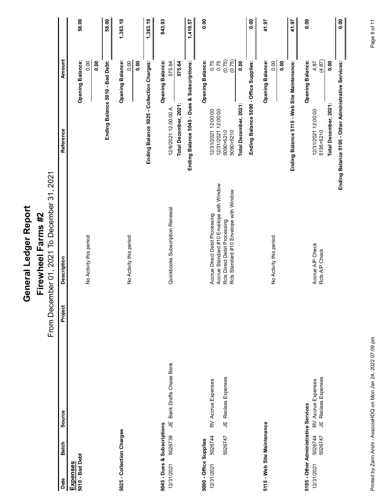| ההה הה.הה            |
|----------------------|
| $\frac{1}{\epsilon}$ |
|                      |
|                      |
| å                    |
| i                    |
|                      |
| Ì                    |
|                      |
|                      |

| General Ledger Report                                                                                                                                                    |                                                                           |              |
|--------------------------------------------------------------------------------------------------------------------------------------------------------------------------|---------------------------------------------------------------------------|--------------|
| From December 01, 2021 To December 31, 2021<br>Firewheel Farms #2                                                                                                        |                                                                           |              |
| <b>Description</b><br>Project<br>Source                                                                                                                                  | <b>Amount</b><br>ference<br>Ref                                           |              |
|                                                                                                                                                                          | <b>Opening Balance:</b>                                                   | 58.00        |
| No Activity this period                                                                                                                                                  | 0.00<br>0.00                                                              |              |
|                                                                                                                                                                          | - Bad Debt:<br>Ending Balance 5010                                        | 58.00        |
|                                                                                                                                                                          | <b>Opening Balance:</b><br>0.00                                           | 1,363.19     |
| No Activity this period                                                                                                                                                  | 0.00                                                                      |              |
|                                                                                                                                                                          | Balance 5025 - Collection Charges:<br>Ending F                            | 1,363.19     |
| Quickbooks Subscription Renewal<br>JE Bank Drafts Chase Bank                                                                                                             | <b>Opening Balance:</b><br>575.64<br>12/9/2021 12:00:00 A                 | 843.93       |
|                                                                                                                                                                          | 575.64<br>Total December, 2021:                                           |              |
|                                                                                                                                                                          | Ending Balance 5045 - Dues & Subscriptions:                               | 1,419.57     |
| RV Accrue Expenses                                                                                                                                                       | <b>Opening Balance:</b><br>0.75                                           | 0.00         |
| Accrue Direct Debit Processing<br>Accrue Standard #10 Envelope with Window<br>Rols Direct Debit Processing<br>Rols Standard #10 Envelope with Window<br>Reclass Expenses | $\frac{(6.75)}{(0.75)}$<br>12/31/2021 12:00:00<br>12/31/2021 12:00:00     |              |
|                                                                                                                                                                          | 0.00<br>5090>5210<br>5090>5210                                            |              |
|                                                                                                                                                                          | <b>Supplies:</b><br>Ending Balance 5090 - Office<br>Total December, 2021: | 0.00         |
|                                                                                                                                                                          | <b>Opening Balance:</b>                                                   | 41.97        |
| No Activity this period                                                                                                                                                  | 0.00                                                                      |              |
|                                                                                                                                                                          | 0.00                                                                      |              |
|                                                                                                                                                                          | lance 5115 - Web Site Maintenance:<br>Ending Bal                          | 41.97        |
| 5195 - Other Administrative Services                                                                                                                                     | <b>Opening Balance:</b>                                                   | 0.00         |
| Accrue A/P Check<br>Rcls A/P Check<br>JE Reclass Expenses<br>RV Accrue Expenses                                                                                          | (4.87)<br>4.87<br>12/31/2021 12:00:00<br>5195>5210                        |              |
|                                                                                                                                                                          | 0.00<br>Total December, 2021:                                             |              |
|                                                                                                                                                                          | 95 - Other Administrative Services:<br>Ending Balance 51                  | 0.00         |
|                                                                                                                                                                          |                                                                           |              |
| Printed by Zarin Arshi - AssociaHDQ on Mon Jan 24, 2022 07:09 pm                                                                                                         |                                                                           | Page 8 of 11 |
|                                                                                                                                                                          |                                                                           |              |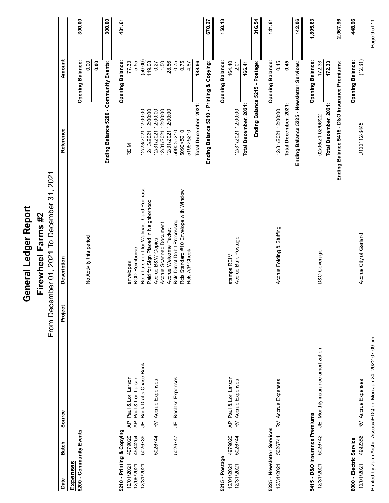| From December 01, 2021 To December 31, 2021<br>BOD Reimburse<br>Reimbursment for Walmart- Card Puchase<br>Paid for Sign Placed in Neighborhood<br>Accrue Welcome Packet<br>Rcls Direct Debit Processing<br>Rcls Standard #10 Envelope with Window<br>Rcls A/P Check<br>Firewheel Farms #2<br>Scanned Document<br>Accrue Folding & Stuffing<br>No Activity this period<br>Accrue Bulk Postage<br>Accrue B&W Copies<br>D&O Coverage<br>stamps REIM<br><b>Description</b><br>envelopes<br>Accrue<br>Project<br>JE Monthly insurance amortization<br>Bank Drafts Chase Bank<br>AP Paul & Lori Larson<br>AP Paul & Lori Larson<br>AP Paul & Lori Larson<br>RV Accrue Expenses<br>JE Reclass Expenses<br>RV Accrue Expenses<br>RV Accrue Expenses<br>Source<br>5415 - D&O Insurance Premiums<br>ц<br>5225 - Newsletter Services<br>5210 - Printing & Copying<br>5200 - Community Events<br>4979020<br>5026744<br>5026744<br>4979020<br>4984254<br>5026742<br>5026739<br>5026744<br>5026747<br><b>Batch</b><br>5215 - Postage<br><u>Expenses</u><br>12/31/2021<br>12/31/2021<br>12/01/2021<br>12/31/2021<br>12/06/2021<br>12/31/2021<br>12/01/2021<br>Date |
|-----------------------------------------------------------------------------------------------------------------------------------------------------------------------------------------------------------------------------------------------------------------------------------------------------------------------------------------------------------------------------------------------------------------------------------------------------------------------------------------------------------------------------------------------------------------------------------------------------------------------------------------------------------------------------------------------------------------------------------------------------------------------------------------------------------------------------------------------------------------------------------------------------------------------------------------------------------------------------------------------------------------------------------------------------------------------------------------------------------------------------------------------------|
|                                                                                                                                                                                                                                                                                                                                                                                                                                                                                                                                                                                                                                                                                                                                                                                                                                                                                                                                                                                                                                                                                                                                                     |
|                                                                                                                                                                                                                                                                                                                                                                                                                                                                                                                                                                                                                                                                                                                                                                                                                                                                                                                                                                                                                                                                                                                                                     |
|                                                                                                                                                                                                                                                                                                                                                                                                                                                                                                                                                                                                                                                                                                                                                                                                                                                                                                                                                                                                                                                                                                                                                     |
|                                                                                                                                                                                                                                                                                                                                                                                                                                                                                                                                                                                                                                                                                                                                                                                                                                                                                                                                                                                                                                                                                                                                                     |
|                                                                                                                                                                                                                                                                                                                                                                                                                                                                                                                                                                                                                                                                                                                                                                                                                                                                                                                                                                                                                                                                                                                                                     |
|                                                                                                                                                                                                                                                                                                                                                                                                                                                                                                                                                                                                                                                                                                                                                                                                                                                                                                                                                                                                                                                                                                                                                     |
|                                                                                                                                                                                                                                                                                                                                                                                                                                                                                                                                                                                                                                                                                                                                                                                                                                                                                                                                                                                                                                                                                                                                                     |
|                                                                                                                                                                                                                                                                                                                                                                                                                                                                                                                                                                                                                                                                                                                                                                                                                                                                                                                                                                                                                                                                                                                                                     |
|                                                                                                                                                                                                                                                                                                                                                                                                                                                                                                                                                                                                                                                                                                                                                                                                                                                                                                                                                                                                                                                                                                                                                     |
|                                                                                                                                                                                                                                                                                                                                                                                                                                                                                                                                                                                                                                                                                                                                                                                                                                                                                                                                                                                                                                                                                                                                                     |
|                                                                                                                                                                                                                                                                                                                                                                                                                                                                                                                                                                                                                                                                                                                                                                                                                                                                                                                                                                                                                                                                                                                                                     |
|                                                                                                                                                                                                                                                                                                                                                                                                                                                                                                                                                                                                                                                                                                                                                                                                                                                                                                                                                                                                                                                                                                                                                     |
|                                                                                                                                                                                                                                                                                                                                                                                                                                                                                                                                                                                                                                                                                                                                                                                                                                                                                                                                                                                                                                                                                                                                                     |
|                                                                                                                                                                                                                                                                                                                                                                                                                                                                                                                                                                                                                                                                                                                                                                                                                                                                                                                                                                                                                                                                                                                                                     |
|                                                                                                                                                                                                                                                                                                                                                                                                                                                                                                                                                                                                                                                                                                                                                                                                                                                                                                                                                                                                                                                                                                                                                     |
|                                                                                                                                                                                                                                                                                                                                                                                                                                                                                                                                                                                                                                                                                                                                                                                                                                                                                                                                                                                                                                                                                                                                                     |
|                                                                                                                                                                                                                                                                                                                                                                                                                                                                                                                                                                                                                                                                                                                                                                                                                                                                                                                                                                                                                                                                                                                                                     |
|                                                                                                                                                                                                                                                                                                                                                                                                                                                                                                                                                                                                                                                                                                                                                                                                                                                                                                                                                                                                                                                                                                                                                     |
|                                                                                                                                                                                                                                                                                                                                                                                                                                                                                                                                                                                                                                                                                                                                                                                                                                                                                                                                                                                                                                                                                                                                                     |
|                                                                                                                                                                                                                                                                                                                                                                                                                                                                                                                                                                                                                                                                                                                                                                                                                                                                                                                                                                                                                                                                                                                                                     |
|                                                                                                                                                                                                                                                                                                                                                                                                                                                                                                                                                                                                                                                                                                                                                                                                                                                                                                                                                                                                                                                                                                                                                     |
|                                                                                                                                                                                                                                                                                                                                                                                                                                                                                                                                                                                                                                                                                                                                                                                                                                                                                                                                                                                                                                                                                                                                                     |
|                                                                                                                                                                                                                                                                                                                                                                                                                                                                                                                                                                                                                                                                                                                                                                                                                                                                                                                                                                                                                                                                                                                                                     |
|                                                                                                                                                                                                                                                                                                                                                                                                                                                                                                                                                                                                                                                                                                                                                                                                                                                                                                                                                                                                                                                                                                                                                     |
|                                                                                                                                                                                                                                                                                                                                                                                                                                                                                                                                                                                                                                                                                                                                                                                                                                                                                                                                                                                                                                                                                                                                                     |
|                                                                                                                                                                                                                                                                                                                                                                                                                                                                                                                                                                                                                                                                                                                                                                                                                                                                                                                                                                                                                                                                                                                                                     |
|                                                                                                                                                                                                                                                                                                                                                                                                                                                                                                                                                                                                                                                                                                                                                                                                                                                                                                                                                                                                                                                                                                                                                     |
|                                                                                                                                                                                                                                                                                                                                                                                                                                                                                                                                                                                                                                                                                                                                                                                                                                                                                                                                                                                                                                                                                                                                                     |
|                                                                                                                                                                                                                                                                                                                                                                                                                                                                                                                                                                                                                                                                                                                                                                                                                                                                                                                                                                                                                                                                                                                                                     |
|                                                                                                                                                                                                                                                                                                                                                                                                                                                                                                                                                                                                                                                                                                                                                                                                                                                                                                                                                                                                                                                                                                                                                     |
|                                                                                                                                                                                                                                                                                                                                                                                                                                                                                                                                                                                                                                                                                                                                                                                                                                                                                                                                                                                                                                                                                                                                                     |
| 6000 - Electric Service                                                                                                                                                                                                                                                                                                                                                                                                                                                                                                                                                                                                                                                                                                                                                                                                                                                                                                                                                                                                                                                                                                                             |
|                                                                                                                                                                                                                                                                                                                                                                                                                                                                                                                                                                                                                                                                                                                                                                                                                                                                                                                                                                                                                                                                                                                                                     |
| Accrue City of Garland<br>Printed by Zarin Arshi - AssociaHDQ on Mon Jan 24, 2022 07:09 pm<br>RV Accrue Expenses<br>4992356<br>12/01/2021                                                                                                                                                                                                                                                                                                                                                                                                                                                                                                                                                                                                                                                                                                                                                                                                                                                                                                                                                                                                           |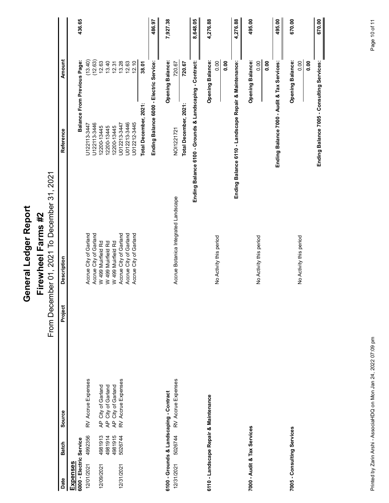| 436.65<br>8,648.05<br>4,276.88<br>495.00<br>670.00<br>486.97<br>7,927.38<br>4,276.88<br>495.00<br>670.00<br><b>Amount</b><br>$\begin{array}{c l} (13.40) \\ (12.63) \\ (12.63) \\ (12.63) \\ (12.63) \\ (12.63) \\ (12.63) \\ (12.63) \\ (12.63) \\ (12.63) \\ (12.63) \\ (12.63) \\ (12.63) \\ (12.63) \\ (12.63) \\ (12.63) \\ (12.63) \\ (12.63) \\ (12.63) \\ (12.63) \\ (12.63) \\ (12.63) \\ (12.63) \\ (12.63) \\ (12.63) \\ (12.63) \\ (12$<br><b>Balance From Previous Page:</b><br><b>Opening Balance:</b><br>Contract:<br>- Landscape Repair & Maintenance:<br><b>Opening Balance:</b><br>Balance 7000 - Audit & Tax Services:<br><b>Opening Balance:</b><br>- Consulting Services:<br>Service:<br><b>Opening Balance:</b><br>0.00<br>0.00<br>$rac{0}{0}$<br>0.00<br>0.00<br>38.01<br>720.67<br>0.00<br>720.67<br>nding Balance 6000 - Electric<br>$\blacksquare$<br>- Grounds & Landscaping<br>Total December, 2021:<br>Total December, 2021:<br>Ending Balance 7005<br>U122113-3447<br>1122113-3446<br>12200-13445<br>12200-13445<br>12200-13445<br>1012213-3446<br>U012213-3446<br>U01212-3446<br>NO11221721<br>Reference<br>$\bullet$<br>面<br>Ending Balance 6100<br>Ending Balance 611<br>Ending<br>2021<br>From December 01, 2021 To December 31,<br>Accrue Botanica Integrated Landscape<br>Firewheel Farms #2<br>Accrue City of Garland<br>Accrue City of Garland<br>W 499 Muirfield Rd<br>W 499 Muirfield Rd<br>Accrue City of Garland<br>Accrue City of Garland<br>Accrue City of Garland<br>No Activity this period<br>No Activity this period<br>No Activity this period<br>W 499 Muirfield Rd<br><b>Description</b><br>Project<br>AP City of Garland<br>AP City of Garland<br>RV Accrue Expenses<br>RV Accrue Expenses<br>RV Accrue Expenses<br>AP City of Garland<br>6100 - Grounds & Landscaping - Contract<br>6110 - Landscape Repair & Maintenance<br>Source<br>vices<br>7005 - Consulting Services<br>4992356<br>5026744<br>4981913<br>4981914<br>4981915<br>5026744<br>6000 - Electric Service<br>Ser<br><b>Batch</b><br>7000 - Audit & Tax<br>Expenses<br>12/01/2021<br>12/31/2021<br>12/31/2021<br>12/09/2021<br>Date | General Ledger Report |  |
|-------------------------------------------------------------------------------------------------------------------------------------------------------------------------------------------------------------------------------------------------------------------------------------------------------------------------------------------------------------------------------------------------------------------------------------------------------------------------------------------------------------------------------------------------------------------------------------------------------------------------------------------------------------------------------------------------------------------------------------------------------------------------------------------------------------------------------------------------------------------------------------------------------------------------------------------------------------------------------------------------------------------------------------------------------------------------------------------------------------------------------------------------------------------------------------------------------------------------------------------------------------------------------------------------------------------------------------------------------------------------------------------------------------------------------------------------------------------------------------------------------------------------------------------------------------------------------------------------------------------------------------------------------------------------------------------------------------------------------------------------------------------------------------------------------------------------------------------------------------------------------------------------------------------------------------------------------------------------------------------------------------------------------------------------------------------------------------------------------------------------------------------------------|-----------------------|--|
|                                                                                                                                                                                                                                                                                                                                                                                                                                                                                                                                                                                                                                                                                                                                                                                                                                                                                                                                                                                                                                                                                                                                                                                                                                                                                                                                                                                                                                                                                                                                                                                                                                                                                                                                                                                                                                                                                                                                                                                                                                                                                                                                                       |                       |  |
|                                                                                                                                                                                                                                                                                                                                                                                                                                                                                                                                                                                                                                                                                                                                                                                                                                                                                                                                                                                                                                                                                                                                                                                                                                                                                                                                                                                                                                                                                                                                                                                                                                                                                                                                                                                                                                                                                                                                                                                                                                                                                                                                                       |                       |  |
|                                                                                                                                                                                                                                                                                                                                                                                                                                                                                                                                                                                                                                                                                                                                                                                                                                                                                                                                                                                                                                                                                                                                                                                                                                                                                                                                                                                                                                                                                                                                                                                                                                                                                                                                                                                                                                                                                                                                                                                                                                                                                                                                                       |                       |  |
|                                                                                                                                                                                                                                                                                                                                                                                                                                                                                                                                                                                                                                                                                                                                                                                                                                                                                                                                                                                                                                                                                                                                                                                                                                                                                                                                                                                                                                                                                                                                                                                                                                                                                                                                                                                                                                                                                                                                                                                                                                                                                                                                                       |                       |  |
|                                                                                                                                                                                                                                                                                                                                                                                                                                                                                                                                                                                                                                                                                                                                                                                                                                                                                                                                                                                                                                                                                                                                                                                                                                                                                                                                                                                                                                                                                                                                                                                                                                                                                                                                                                                                                                                                                                                                                                                                                                                                                                                                                       |                       |  |
|                                                                                                                                                                                                                                                                                                                                                                                                                                                                                                                                                                                                                                                                                                                                                                                                                                                                                                                                                                                                                                                                                                                                                                                                                                                                                                                                                                                                                                                                                                                                                                                                                                                                                                                                                                                                                                                                                                                                                                                                                                                                                                                                                       |                       |  |
|                                                                                                                                                                                                                                                                                                                                                                                                                                                                                                                                                                                                                                                                                                                                                                                                                                                                                                                                                                                                                                                                                                                                                                                                                                                                                                                                                                                                                                                                                                                                                                                                                                                                                                                                                                                                                                                                                                                                                                                                                                                                                                                                                       |                       |  |
|                                                                                                                                                                                                                                                                                                                                                                                                                                                                                                                                                                                                                                                                                                                                                                                                                                                                                                                                                                                                                                                                                                                                                                                                                                                                                                                                                                                                                                                                                                                                                                                                                                                                                                                                                                                                                                                                                                                                                                                                                                                                                                                                                       |                       |  |
|                                                                                                                                                                                                                                                                                                                                                                                                                                                                                                                                                                                                                                                                                                                                                                                                                                                                                                                                                                                                                                                                                                                                                                                                                                                                                                                                                                                                                                                                                                                                                                                                                                                                                                                                                                                                                                                                                                                                                                                                                                                                                                                                                       |                       |  |
|                                                                                                                                                                                                                                                                                                                                                                                                                                                                                                                                                                                                                                                                                                                                                                                                                                                                                                                                                                                                                                                                                                                                                                                                                                                                                                                                                                                                                                                                                                                                                                                                                                                                                                                                                                                                                                                                                                                                                                                                                                                                                                                                                       |                       |  |
|                                                                                                                                                                                                                                                                                                                                                                                                                                                                                                                                                                                                                                                                                                                                                                                                                                                                                                                                                                                                                                                                                                                                                                                                                                                                                                                                                                                                                                                                                                                                                                                                                                                                                                                                                                                                                                                                                                                                                                                                                                                                                                                                                       |                       |  |
|                                                                                                                                                                                                                                                                                                                                                                                                                                                                                                                                                                                                                                                                                                                                                                                                                                                                                                                                                                                                                                                                                                                                                                                                                                                                                                                                                                                                                                                                                                                                                                                                                                                                                                                                                                                                                                                                                                                                                                                                                                                                                                                                                       |                       |  |
|                                                                                                                                                                                                                                                                                                                                                                                                                                                                                                                                                                                                                                                                                                                                                                                                                                                                                                                                                                                                                                                                                                                                                                                                                                                                                                                                                                                                                                                                                                                                                                                                                                                                                                                                                                                                                                                                                                                                                                                                                                                                                                                                                       |                       |  |
|                                                                                                                                                                                                                                                                                                                                                                                                                                                                                                                                                                                                                                                                                                                                                                                                                                                                                                                                                                                                                                                                                                                                                                                                                                                                                                                                                                                                                                                                                                                                                                                                                                                                                                                                                                                                                                                                                                                                                                                                                                                                                                                                                       |                       |  |
|                                                                                                                                                                                                                                                                                                                                                                                                                                                                                                                                                                                                                                                                                                                                                                                                                                                                                                                                                                                                                                                                                                                                                                                                                                                                                                                                                                                                                                                                                                                                                                                                                                                                                                                                                                                                                                                                                                                                                                                                                                                                                                                                                       |                       |  |
|                                                                                                                                                                                                                                                                                                                                                                                                                                                                                                                                                                                                                                                                                                                                                                                                                                                                                                                                                                                                                                                                                                                                                                                                                                                                                                                                                                                                                                                                                                                                                                                                                                                                                                                                                                                                                                                                                                                                                                                                                                                                                                                                                       |                       |  |
|                                                                                                                                                                                                                                                                                                                                                                                                                                                                                                                                                                                                                                                                                                                                                                                                                                                                                                                                                                                                                                                                                                                                                                                                                                                                                                                                                                                                                                                                                                                                                                                                                                                                                                                                                                                                                                                                                                                                                                                                                                                                                                                                                       |                       |  |
|                                                                                                                                                                                                                                                                                                                                                                                                                                                                                                                                                                                                                                                                                                                                                                                                                                                                                                                                                                                                                                                                                                                                                                                                                                                                                                                                                                                                                                                                                                                                                                                                                                                                                                                                                                                                                                                                                                                                                                                                                                                                                                                                                       |                       |  |
|                                                                                                                                                                                                                                                                                                                                                                                                                                                                                                                                                                                                                                                                                                                                                                                                                                                                                                                                                                                                                                                                                                                                                                                                                                                                                                                                                                                                                                                                                                                                                                                                                                                                                                                                                                                                                                                                                                                                                                                                                                                                                                                                                       |                       |  |
|                                                                                                                                                                                                                                                                                                                                                                                                                                                                                                                                                                                                                                                                                                                                                                                                                                                                                                                                                                                                                                                                                                                                                                                                                                                                                                                                                                                                                                                                                                                                                                                                                                                                                                                                                                                                                                                                                                                                                                                                                                                                                                                                                       |                       |  |
|                                                                                                                                                                                                                                                                                                                                                                                                                                                                                                                                                                                                                                                                                                                                                                                                                                                                                                                                                                                                                                                                                                                                                                                                                                                                                                                                                                                                                                                                                                                                                                                                                                                                                                                                                                                                                                                                                                                                                                                                                                                                                                                                                       |                       |  |
|                                                                                                                                                                                                                                                                                                                                                                                                                                                                                                                                                                                                                                                                                                                                                                                                                                                                                                                                                                                                                                                                                                                                                                                                                                                                                                                                                                                                                                                                                                                                                                                                                                                                                                                                                                                                                                                                                                                                                                                                                                                                                                                                                       |                       |  |
|                                                                                                                                                                                                                                                                                                                                                                                                                                                                                                                                                                                                                                                                                                                                                                                                                                                                                                                                                                                                                                                                                                                                                                                                                                                                                                                                                                                                                                                                                                                                                                                                                                                                                                                                                                                                                                                                                                                                                                                                                                                                                                                                                       |                       |  |
|                                                                                                                                                                                                                                                                                                                                                                                                                                                                                                                                                                                                                                                                                                                                                                                                                                                                                                                                                                                                                                                                                                                                                                                                                                                                                                                                                                                                                                                                                                                                                                                                                                                                                                                                                                                                                                                                                                                                                                                                                                                                                                                                                       |                       |  |
|                                                                                                                                                                                                                                                                                                                                                                                                                                                                                                                                                                                                                                                                                                                                                                                                                                                                                                                                                                                                                                                                                                                                                                                                                                                                                                                                                                                                                                                                                                                                                                                                                                                                                                                                                                                                                                                                                                                                                                                                                                                                                                                                                       |                       |  |
|                                                                                                                                                                                                                                                                                                                                                                                                                                                                                                                                                                                                                                                                                                                                                                                                                                                                                                                                                                                                                                                                                                                                                                                                                                                                                                                                                                                                                                                                                                                                                                                                                                                                                                                                                                                                                                                                                                                                                                                                                                                                                                                                                       |                       |  |
| Page 10 of 11<br>Printed by Zarin Arshi - AssociaHDQ on Mon Jan 24, 2022 07:09 pm                                                                                                                                                                                                                                                                                                                                                                                                                                                                                                                                                                                                                                                                                                                                                                                                                                                                                                                                                                                                                                                                                                                                                                                                                                                                                                                                                                                                                                                                                                                                                                                                                                                                                                                                                                                                                                                                                                                                                                                                                                                                     |                       |  |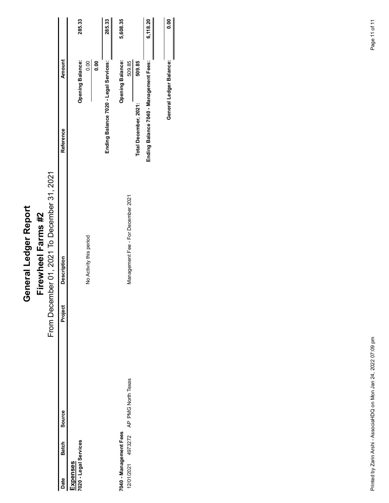|                                                                  | General Ledger Report                                             |                                           |                         |               |
|------------------------------------------------------------------|-------------------------------------------------------------------|-------------------------------------------|-------------------------|---------------|
|                                                                  | From December 01, 2021 To December 31, 2021<br>Firewheel Farms #2 |                                           |                         |               |
| Project<br>Source                                                | <b>Description</b>                                                | Reference                                 | <b>Amount</b>           |               |
| Date Batch<br>Expenses<br>Expenses<br>7020 - Legal Services      |                                                                   |                                           | <b>Opening Balance:</b> | 285.33        |
|                                                                  | No Activity this period                                           |                                           | 0.00<br>0.00            |               |
|                                                                  |                                                                   | Ending Balance 7020 - Legal Services:     |                         | 285.33        |
| 7040 - Management Fees                                           |                                                                   |                                           | <b>Opening Balance:</b> | 5,608.35      |
| AP PMG North Texas<br>4973272<br>12/01/2021                      | Management Fee - For December 2021                                | Total December, 2021:                     | 509.85<br>509.85        |               |
|                                                                  |                                                                   | Balance 7040 - Management Fees:<br>Ending |                         | 6,118.20      |
|                                                                  |                                                                   |                                           |                         |               |
|                                                                  |                                                                   |                                           | General Ledger Balance: | $\frac{1}{3}$ |
|                                                                  |                                                                   |                                           |                         |               |
|                                                                  |                                                                   |                                           |                         |               |
|                                                                  |                                                                   |                                           |                         |               |
|                                                                  |                                                                   |                                           |                         |               |
|                                                                  |                                                                   |                                           |                         |               |
|                                                                  |                                                                   |                                           |                         |               |
|                                                                  |                                                                   |                                           |                         |               |
|                                                                  |                                                                   |                                           |                         |               |
|                                                                  |                                                                   |                                           |                         |               |
|                                                                  |                                                                   |                                           |                         |               |
|                                                                  |                                                                   |                                           |                         |               |
|                                                                  |                                                                   |                                           |                         |               |
|                                                                  |                                                                   |                                           |                         |               |
| Printed by Zarin Arshi - AssociaHDQ on Mon Jan 24, 2022 07:09 pm |                                                                   |                                           |                         | Page 11 of 11 |
|                                                                  |                                                                   |                                           |                         |               |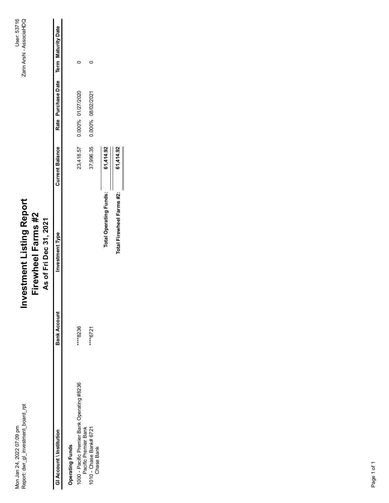| 37,996.35<br><b>Current Balance</b><br>61,414.92<br>23,418.57<br>61,414.92<br><b>Total Operating Funds:</b><br>Total Firewheel Farms #2:<br>Investment Listing Report<br>Firewheel Farms #2<br>As of Fri Dec 31, 2021<br>Investment Type<br><b>Bank Account</b><br>****8236<br>****6721<br>1000 - Pacific Premier Bank Operating #8236<br>Pacific Premier Bank<br>1010 - Chase Bank# 6721<br>Chase Bank<br>Mon Jan 24, 2022 07:09 pm<br>Report: dwr_gl_investment_board_rpt<br>GI Account \ Institution<br><b>Operating Funds</b> |
|-----------------------------------------------------------------------------------------------------------------------------------------------------------------------------------------------------------------------------------------------------------------------------------------------------------------------------------------------------------------------------------------------------------------------------------------------------------------------------------------------------------------------------------|
|                                                                                                                                                                                                                                                                                                                                                                                                                                                                                                                                   |
|                                                                                                                                                                                                                                                                                                                                                                                                                                                                                                                                   |
|                                                                                                                                                                                                                                                                                                                                                                                                                                                                                                                                   |
|                                                                                                                                                                                                                                                                                                                                                                                                                                                                                                                                   |
|                                                                                                                                                                                                                                                                                                                                                                                                                                                                                                                                   |
|                                                                                                                                                                                                                                                                                                                                                                                                                                                                                                                                   |
|                                                                                                                                                                                                                                                                                                                                                                                                                                                                                                                                   |
|                                                                                                                                                                                                                                                                                                                                                                                                                                                                                                                                   |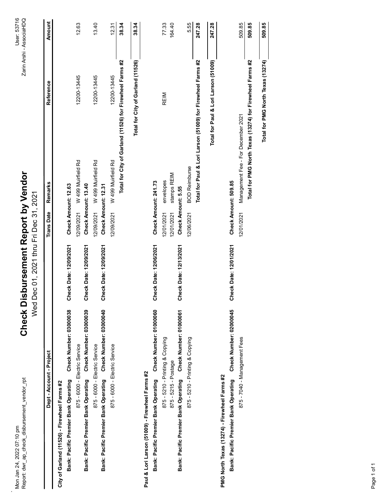| 509.85<br>Total for City of Garland (11526)<br>ori Larson (51009) for Firewheel Farms #2<br>Total for PMG North Texas (13274) for Firewheel Farms #2<br>Total for City of Garland (11526) for Firewheel Farms #2<br>Total for Paul & Lori Larson (51009)<br>12200-13445<br>12200-13445<br>12200-13445<br>REIM<br>- For December 2021<br>W 499 Muirfield Rd<br>W 499 Muirfield Rd<br>W 499 Muirfield Rd<br>Management Fee<br>Total for Paul & I<br><b>BOD Reimburse</b><br>stamps REIM<br>envelopes<br>Check Amount: 509.85<br>Check Amount: 241.73<br>Check Amount: 13.40<br>Check Amount: 12.31<br>Check Amount: 12.63<br>Check Amount: 5.55<br>12/09/2021<br>12/09/2021<br>12/09/2021<br>12/01/2021<br>12/01/2021<br>12/06/2021<br>12/01/2021<br>Check Date: 12/06/2021<br>Check Date: 12/01/2021<br>Check Date: 12/13/2021<br><b>Check Date: 12/09/2021</b><br>Check Date: 12/09/2021<br>Check Date: 12/09/2021<br>Check Number: 01000060<br>Check Number: 02000045<br>Check Number: 03000039<br>Check Number: 03000040<br>Check Number: 03000038<br>Check Number: 01000061<br>875 - 5210 - Printing & Copying<br>875 - 7040 - Management Fees<br>875 - 5210 - Printing & Copying<br>875 - 6000 - Electric Service<br>875 - 6000 - Electric Service<br>875 - 6000 - Electric Service<br>875 - 5215 - Postage<br>Bank: Pacific Premier Bank Operating<br>Bank: Pacific Premier Bank Operating<br>Bank: Pacific Premier Bank Operating<br>Bank: Pacific Premier Bank Operating<br>Bank: Pacific Premier Bank Operating<br>Bank: Pacific Premier Bank Operating | Paul & Lori Larson (51009) - Firewheel Farms #2<br>PMG North Texas (13274) - Firewheel Farms #2<br>City of Garland (11526) - Firewheel Farms #2 |  | 12.63<br>13.40<br>77.33<br>164.40<br>5.55<br>247.28<br>38.34<br>38.34<br>12.31 |
|-----------------------------------------------------------------------------------------------------------------------------------------------------------------------------------------------------------------------------------------------------------------------------------------------------------------------------------------------------------------------------------------------------------------------------------------------------------------------------------------------------------------------------------------------------------------------------------------------------------------------------------------------------------------------------------------------------------------------------------------------------------------------------------------------------------------------------------------------------------------------------------------------------------------------------------------------------------------------------------------------------------------------------------------------------------------------------------------------------------------------------------------------------------------------------------------------------------------------------------------------------------------------------------------------------------------------------------------------------------------------------------------------------------------------------------------------------------------------------------------------------------------------------------------------------------------|-------------------------------------------------------------------------------------------------------------------------------------------------|--|--------------------------------------------------------------------------------|
|                                                                                                                                                                                                                                                                                                                                                                                                                                                                                                                                                                                                                                                                                                                                                                                                                                                                                                                                                                                                                                                                                                                                                                                                                                                                                                                                                                                                                                                                                                                                                                 |                                                                                                                                                 |  |                                                                                |
|                                                                                                                                                                                                                                                                                                                                                                                                                                                                                                                                                                                                                                                                                                                                                                                                                                                                                                                                                                                                                                                                                                                                                                                                                                                                                                                                                                                                                                                                                                                                                                 |                                                                                                                                                 |  |                                                                                |
|                                                                                                                                                                                                                                                                                                                                                                                                                                                                                                                                                                                                                                                                                                                                                                                                                                                                                                                                                                                                                                                                                                                                                                                                                                                                                                                                                                                                                                                                                                                                                                 |                                                                                                                                                 |  |                                                                                |
|                                                                                                                                                                                                                                                                                                                                                                                                                                                                                                                                                                                                                                                                                                                                                                                                                                                                                                                                                                                                                                                                                                                                                                                                                                                                                                                                                                                                                                                                                                                                                                 |                                                                                                                                                 |  |                                                                                |
|                                                                                                                                                                                                                                                                                                                                                                                                                                                                                                                                                                                                                                                                                                                                                                                                                                                                                                                                                                                                                                                                                                                                                                                                                                                                                                                                                                                                                                                                                                                                                                 |                                                                                                                                                 |  |                                                                                |
|                                                                                                                                                                                                                                                                                                                                                                                                                                                                                                                                                                                                                                                                                                                                                                                                                                                                                                                                                                                                                                                                                                                                                                                                                                                                                                                                                                                                                                                                                                                                                                 |                                                                                                                                                 |  |                                                                                |
|                                                                                                                                                                                                                                                                                                                                                                                                                                                                                                                                                                                                                                                                                                                                                                                                                                                                                                                                                                                                                                                                                                                                                                                                                                                                                                                                                                                                                                                                                                                                                                 |                                                                                                                                                 |  |                                                                                |
|                                                                                                                                                                                                                                                                                                                                                                                                                                                                                                                                                                                                                                                                                                                                                                                                                                                                                                                                                                                                                                                                                                                                                                                                                                                                                                                                                                                                                                                                                                                                                                 |                                                                                                                                                 |  |                                                                                |
|                                                                                                                                                                                                                                                                                                                                                                                                                                                                                                                                                                                                                                                                                                                                                                                                                                                                                                                                                                                                                                                                                                                                                                                                                                                                                                                                                                                                                                                                                                                                                                 |                                                                                                                                                 |  |                                                                                |
|                                                                                                                                                                                                                                                                                                                                                                                                                                                                                                                                                                                                                                                                                                                                                                                                                                                                                                                                                                                                                                                                                                                                                                                                                                                                                                                                                                                                                                                                                                                                                                 |                                                                                                                                                 |  |                                                                                |
|                                                                                                                                                                                                                                                                                                                                                                                                                                                                                                                                                                                                                                                                                                                                                                                                                                                                                                                                                                                                                                                                                                                                                                                                                                                                                                                                                                                                                                                                                                                                                                 |                                                                                                                                                 |  |                                                                                |
|                                                                                                                                                                                                                                                                                                                                                                                                                                                                                                                                                                                                                                                                                                                                                                                                                                                                                                                                                                                                                                                                                                                                                                                                                                                                                                                                                                                                                                                                                                                                                                 |                                                                                                                                                 |  |                                                                                |
|                                                                                                                                                                                                                                                                                                                                                                                                                                                                                                                                                                                                                                                                                                                                                                                                                                                                                                                                                                                                                                                                                                                                                                                                                                                                                                                                                                                                                                                                                                                                                                 |                                                                                                                                                 |  |                                                                                |
|                                                                                                                                                                                                                                                                                                                                                                                                                                                                                                                                                                                                                                                                                                                                                                                                                                                                                                                                                                                                                                                                                                                                                                                                                                                                                                                                                                                                                                                                                                                                                                 |                                                                                                                                                 |  |                                                                                |
|                                                                                                                                                                                                                                                                                                                                                                                                                                                                                                                                                                                                                                                                                                                                                                                                                                                                                                                                                                                                                                                                                                                                                                                                                                                                                                                                                                                                                                                                                                                                                                 |                                                                                                                                                 |  |                                                                                |
|                                                                                                                                                                                                                                                                                                                                                                                                                                                                                                                                                                                                                                                                                                                                                                                                                                                                                                                                                                                                                                                                                                                                                                                                                                                                                                                                                                                                                                                                                                                                                                 |                                                                                                                                                 |  | 247.28                                                                         |
|                                                                                                                                                                                                                                                                                                                                                                                                                                                                                                                                                                                                                                                                                                                                                                                                                                                                                                                                                                                                                                                                                                                                                                                                                                                                                                                                                                                                                                                                                                                                                                 |                                                                                                                                                 |  |                                                                                |
|                                                                                                                                                                                                                                                                                                                                                                                                                                                                                                                                                                                                                                                                                                                                                                                                                                                                                                                                                                                                                                                                                                                                                                                                                                                                                                                                                                                                                                                                                                                                                                 |                                                                                                                                                 |  |                                                                                |
|                                                                                                                                                                                                                                                                                                                                                                                                                                                                                                                                                                                                                                                                                                                                                                                                                                                                                                                                                                                                                                                                                                                                                                                                                                                                                                                                                                                                                                                                                                                                                                 |                                                                                                                                                 |  |                                                                                |
|                                                                                                                                                                                                                                                                                                                                                                                                                                                                                                                                                                                                                                                                                                                                                                                                                                                                                                                                                                                                                                                                                                                                                                                                                                                                                                                                                                                                                                                                                                                                                                 |                                                                                                                                                 |  | 509.85                                                                         |
| Total for PMG North Texas (13274)                                                                                                                                                                                                                                                                                                                                                                                                                                                                                                                                                                                                                                                                                                                                                                                                                                                                                                                                                                                                                                                                                                                                                                                                                                                                                                                                                                                                                                                                                                                               |                                                                                                                                                 |  | 509.85                                                                         |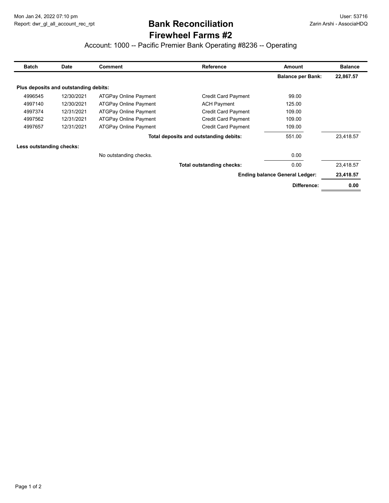## Firewheel Farms #2 Bank Reconciliation

| Mon Jan 24, 2022 07:10 pm<br>Report: dwr_gl_all_account_rec_rpt |                                       |                                                                    |                                        |                                                      |                          |
|-----------------------------------------------------------------|---------------------------------------|--------------------------------------------------------------------|----------------------------------------|------------------------------------------------------|--------------------------|
|                                                                 |                                       |                                                                    |                                        |                                                      |                          |
|                                                                 |                                       |                                                                    |                                        |                                                      |                          |
|                                                                 |                                       |                                                                    |                                        |                                                      |                          |
|                                                                 |                                       |                                                                    |                                        |                                                      |                          |
|                                                                 |                                       |                                                                    |                                        |                                                      | User: 53716              |
|                                                                 |                                       |                                                                    | <b>Bank Reconciliation</b>             |                                                      | Zarin Arshi - AssociaHDQ |
|                                                                 |                                       |                                                                    | <b>Firewheel Farms #2</b>              |                                                      |                          |
|                                                                 |                                       | Account: 1000 -- Pacific Premier Bank Operating #8236 -- Operating |                                        |                                                      |                          |
|                                                                 |                                       |                                                                    |                                        |                                                      |                          |
| <b>Batch</b>                                                    | <b>Date</b>                           | <b>Comment</b>                                                     | Reference                              | Amount                                               | <b>Balance</b>           |
|                                                                 |                                       |                                                                    |                                        | <b>Balance per Bank:</b>                             | 22,867.57                |
|                                                                 | Plus deposits and outstanding debits: |                                                                    |                                        |                                                      |                          |
| 4996545                                                         | 12/30/2021                            | ATGPay Online Payment                                              | Credit Card Payment                    | 99.00                                                |                          |
|                                                                 | 12/30/2021                            | ATGPay Online Payment                                              | <b>ACH Payment</b>                     | 125.00                                               |                          |
|                                                                 | 12/31/2021                            | ATGPay Online Payment                                              | Credit Card Payment                    | 109.00                                               |                          |
| 4997140<br>4997374                                              |                                       |                                                                    | Credit Card Payment                    | 109.00                                               |                          |
| 4997562                                                         | 12/31/2021                            |                                                                    |                                        |                                                      |                          |
| 4997657                                                         | 12/31/2021                            | ATGPay Online Payment<br>ATGPay Online Payment                     | Credit Card Payment                    | 109.00                                               |                          |
|                                                                 |                                       |                                                                    | Total deposits and outstanding debits: | 551.00                                               | 23,418.57                |
|                                                                 |                                       |                                                                    |                                        |                                                      |                          |
| Less outstanding checks:                                        |                                       |                                                                    |                                        |                                                      |                          |
|                                                                 |                                       | No outstanding checks.                                             |                                        | 0.00                                                 |                          |
|                                                                 |                                       |                                                                    | Total outstanding checks:              | 0.00                                                 | 23,418.57                |
|                                                                 |                                       |                                                                    |                                        | <b>Ending balance General Ledger:</b><br>Difference: | 23,418.57<br>0.00        |